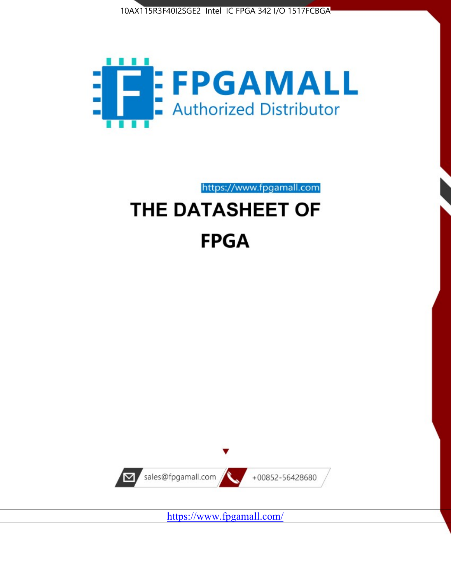



https://www.fpgamall.com

# THE DATASHEET OF **FPGA**



<https://www.fpgamall.com/>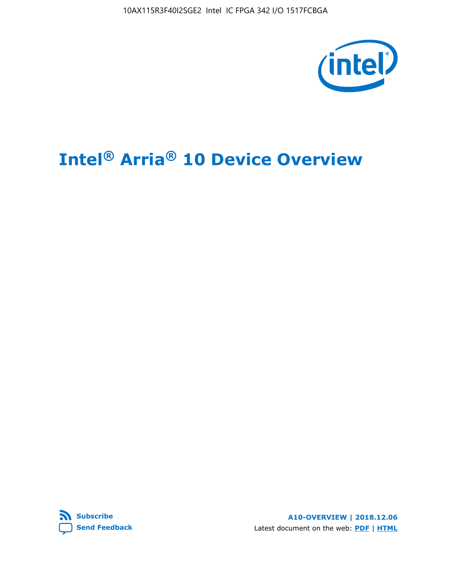10AX115R3F40I2SGE2 Intel IC FPGA 342 I/O 1517FCBGA



# **Intel® Arria® 10 Device Overview**



**A10-OVERVIEW | 2018.12.06** Latest document on the web: **[PDF](https://www.intel.com/content/dam/www/programmable/us/en/pdfs/literature/hb/arria-10/a10_overview.pdf)** | **[HTML](https://www.intel.com/content/www/us/en/programmable/documentation/sam1403480274650.html)**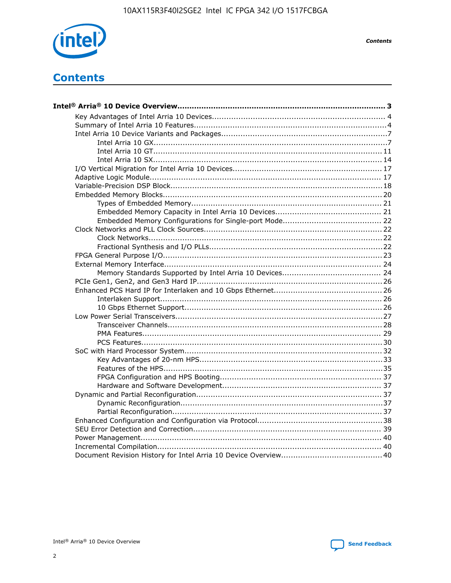

**Contents** 

# **Contents**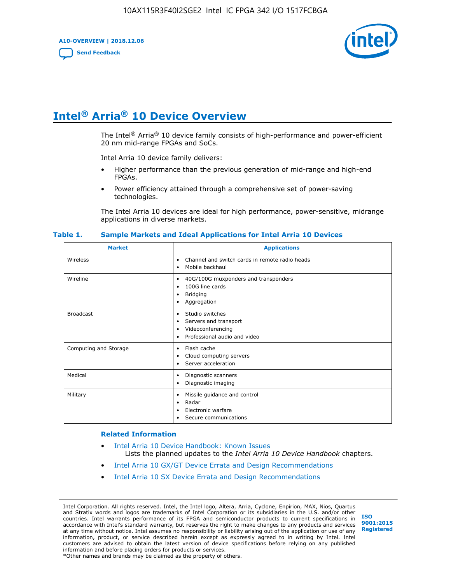**A10-OVERVIEW | 2018.12.06**

**[Send Feedback](mailto:FPGAtechdocfeedback@intel.com?subject=Feedback%20on%20Intel%20Arria%2010%20Device%20Overview%20(A10-OVERVIEW%202018.12.06)&body=We%20appreciate%20your%20feedback.%20In%20your%20comments,%20also%20specify%20the%20page%20number%20or%20paragraph.%20Thank%20you.)**



# **Intel® Arria® 10 Device Overview**

The Intel<sup>®</sup> Arria<sup>®</sup> 10 device family consists of high-performance and power-efficient 20 nm mid-range FPGAs and SoCs.

Intel Arria 10 device family delivers:

- Higher performance than the previous generation of mid-range and high-end FPGAs.
- Power efficiency attained through a comprehensive set of power-saving technologies.

The Intel Arria 10 devices are ideal for high performance, power-sensitive, midrange applications in diverse markets.

| <b>Market</b>         | <b>Applications</b>                                                                                               |
|-----------------------|-------------------------------------------------------------------------------------------------------------------|
| Wireless              | Channel and switch cards in remote radio heads<br>٠<br>Mobile backhaul<br>٠                                       |
| Wireline              | 40G/100G muxponders and transponders<br>٠<br>100G line cards<br>٠<br><b>Bridging</b><br>٠<br>Aggregation<br>٠     |
| <b>Broadcast</b>      | Studio switches<br>٠<br>Servers and transport<br>٠<br>Videoconferencing<br>٠<br>Professional audio and video<br>٠ |
| Computing and Storage | Flash cache<br>٠<br>Cloud computing servers<br>٠<br>Server acceleration<br>٠                                      |
| Medical               | Diagnostic scanners<br>٠<br>Diagnostic imaging<br>٠                                                               |
| Military              | Missile guidance and control<br>٠<br>Radar<br>٠<br>Electronic warfare<br>٠<br>Secure communications<br>٠          |

#### **Table 1. Sample Markets and Ideal Applications for Intel Arria 10 Devices**

#### **Related Information**

- [Intel Arria 10 Device Handbook: Known Issues](http://www.altera.com/support/kdb/solutions/rd07302013_646.html) Lists the planned updates to the *Intel Arria 10 Device Handbook* chapters.
- [Intel Arria 10 GX/GT Device Errata and Design Recommendations](https://www.intel.com/content/www/us/en/programmable/documentation/agz1493851706374.html#yqz1494433888646)
- [Intel Arria 10 SX Device Errata and Design Recommendations](https://www.intel.com/content/www/us/en/programmable/documentation/cru1462832385668.html#cru1462832558642)

Intel Corporation. All rights reserved. Intel, the Intel logo, Altera, Arria, Cyclone, Enpirion, MAX, Nios, Quartus and Stratix words and logos are trademarks of Intel Corporation or its subsidiaries in the U.S. and/or other countries. Intel warrants performance of its FPGA and semiconductor products to current specifications in accordance with Intel's standard warranty, but reserves the right to make changes to any products and services at any time without notice. Intel assumes no responsibility or liability arising out of the application or use of any information, product, or service described herein except as expressly agreed to in writing by Intel. Intel customers are advised to obtain the latest version of device specifications before relying on any published information and before placing orders for products or services. \*Other names and brands may be claimed as the property of others.

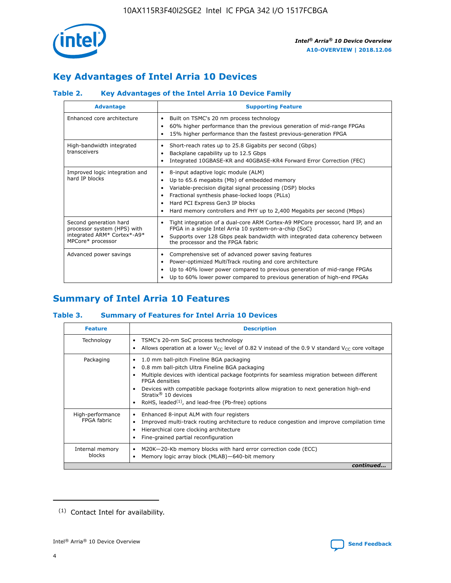

# **Key Advantages of Intel Arria 10 Devices**

# **Table 2. Key Advantages of the Intel Arria 10 Device Family**

| <b>Advantage</b>                                                                                          | <b>Supporting Feature</b>                                                                                                                                                                                                                                                                                                |  |  |  |  |  |
|-----------------------------------------------------------------------------------------------------------|--------------------------------------------------------------------------------------------------------------------------------------------------------------------------------------------------------------------------------------------------------------------------------------------------------------------------|--|--|--|--|--|
| Enhanced core architecture                                                                                | Built on TSMC's 20 nm process technology<br>٠<br>60% higher performance than the previous generation of mid-range FPGAs<br>٠<br>15% higher performance than the fastest previous-generation FPGA<br>٠                                                                                                                    |  |  |  |  |  |
| High-bandwidth integrated<br>transceivers                                                                 | Short-reach rates up to 25.8 Gigabits per second (Gbps)<br>٠<br>Backplane capability up to 12.5 Gbps<br>٠<br>Integrated 10GBASE-KR and 40GBASE-KR4 Forward Error Correction (FEC)<br>٠                                                                                                                                   |  |  |  |  |  |
| Improved logic integration and<br>hard IP blocks                                                          | 8-input adaptive logic module (ALM)<br>٠<br>Up to 65.6 megabits (Mb) of embedded memory<br>٠<br>Variable-precision digital signal processing (DSP) blocks<br>Fractional synthesis phase-locked loops (PLLs)<br>Hard PCI Express Gen3 IP blocks<br>Hard memory controllers and PHY up to 2,400 Megabits per second (Mbps) |  |  |  |  |  |
| Second generation hard<br>processor system (HPS) with<br>integrated ARM* Cortex*-A9*<br>MPCore* processor | Tight integration of a dual-core ARM Cortex-A9 MPCore processor, hard IP, and an<br>٠<br>FPGA in a single Intel Arria 10 system-on-a-chip (SoC)<br>Supports over 128 Gbps peak bandwidth with integrated data coherency between<br>$\bullet$<br>the processor and the FPGA fabric                                        |  |  |  |  |  |
| Advanced power savings                                                                                    | Comprehensive set of advanced power saving features<br>٠<br>Power-optimized MultiTrack routing and core architecture<br>٠<br>Up to 40% lower power compared to previous generation of mid-range FPGAs<br>٠<br>Up to 60% lower power compared to previous generation of high-end FPGAs                                    |  |  |  |  |  |

# **Summary of Intel Arria 10 Features**

## **Table 3. Summary of Features for Intel Arria 10 Devices**

| <b>Feature</b>                  | <b>Description</b>                                                                                                                                                                                                                                                                                                                                                                                       |
|---------------------------------|----------------------------------------------------------------------------------------------------------------------------------------------------------------------------------------------------------------------------------------------------------------------------------------------------------------------------------------------------------------------------------------------------------|
| Technology                      | TSMC's 20-nm SoC process technology<br>٠<br>Allows operation at a lower $V_{\text{CC}}$ level of 0.82 V instead of the 0.9 V standard $V_{\text{CC}}$ core voltage                                                                                                                                                                                                                                       |
| Packaging                       | 1.0 mm ball-pitch Fineline BGA packaging<br>0.8 mm ball-pitch Ultra Fineline BGA packaging<br>Multiple devices with identical package footprints for seamless migration between different<br><b>FPGA</b> densities<br>Devices with compatible package footprints allow migration to next generation high-end<br>Stratix $\mathcal{R}$ 10 devices<br>RoHS, leaded $(1)$ , and lead-free (Pb-free) options |
| High-performance<br>FPGA fabric | Enhanced 8-input ALM with four registers<br>٠<br>Improved multi-track routing architecture to reduce congestion and improve compilation time<br>Hierarchical core clocking architecture<br>Fine-grained partial reconfiguration                                                                                                                                                                          |
| Internal memory<br>blocks       | M20K-20-Kb memory blocks with hard error correction code (ECC)<br>Memory logic array block (MLAB)-640-bit memory                                                                                                                                                                                                                                                                                         |
|                                 | continued                                                                                                                                                                                                                                                                                                                                                                                                |



<sup>(1)</sup> Contact Intel for availability.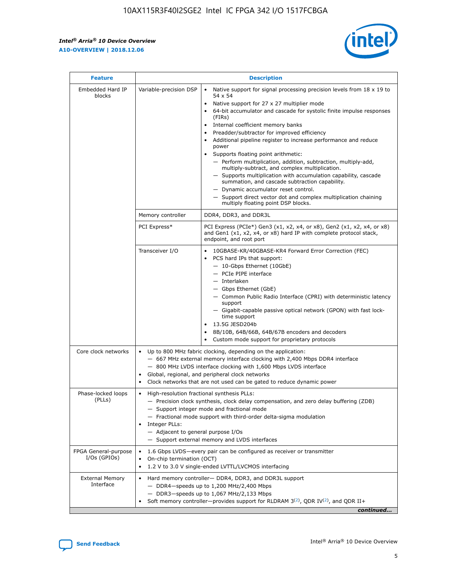r



| <b>Feature</b>                         |                                                                                                                | <b>Description</b>                                                                                                                                                                                                                                                                                                                                                                                                                                                                                                                                                                                                                                                                                                                                                                                                                     |
|----------------------------------------|----------------------------------------------------------------------------------------------------------------|----------------------------------------------------------------------------------------------------------------------------------------------------------------------------------------------------------------------------------------------------------------------------------------------------------------------------------------------------------------------------------------------------------------------------------------------------------------------------------------------------------------------------------------------------------------------------------------------------------------------------------------------------------------------------------------------------------------------------------------------------------------------------------------------------------------------------------------|
| Embedded Hard IP<br>blocks             | Variable-precision DSP                                                                                         | Native support for signal processing precision levels from $18 \times 19$ to<br>54 x 54<br>Native support for 27 x 27 multiplier mode<br>64-bit accumulator and cascade for systolic finite impulse responses<br>(FIRs)<br>Internal coefficient memory banks<br>$\bullet$<br>Preadder/subtractor for improved efficiency<br>Additional pipeline register to increase performance and reduce<br>power<br>Supports floating point arithmetic:<br>- Perform multiplication, addition, subtraction, multiply-add,<br>multiply-subtract, and complex multiplication.<br>- Supports multiplication with accumulation capability, cascade<br>summation, and cascade subtraction capability.<br>- Dynamic accumulator reset control.<br>- Support direct vector dot and complex multiplication chaining<br>multiply floating point DSP blocks. |
|                                        | Memory controller                                                                                              | DDR4, DDR3, and DDR3L                                                                                                                                                                                                                                                                                                                                                                                                                                                                                                                                                                                                                                                                                                                                                                                                                  |
|                                        | PCI Express*                                                                                                   | PCI Express (PCIe*) Gen3 (x1, x2, x4, or x8), Gen2 (x1, x2, x4, or x8)<br>and Gen1 (x1, x2, x4, or x8) hard IP with complete protocol stack,<br>endpoint, and root port                                                                                                                                                                                                                                                                                                                                                                                                                                                                                                                                                                                                                                                                |
|                                        | Transceiver I/O                                                                                                | 10GBASE-KR/40GBASE-KR4 Forward Error Correction (FEC)<br>PCS hard IPs that support:<br>$\bullet$<br>- 10-Gbps Ethernet (10GbE)<br>- PCIe PIPE interface<br>$-$ Interlaken<br>- Gbps Ethernet (GbE)<br>- Common Public Radio Interface (CPRI) with deterministic latency<br>support<br>- Gigabit-capable passive optical network (GPON) with fast lock-<br>time support<br>13.5G JESD204b<br>$\bullet$<br>8B/10B, 64B/66B, 64B/67B encoders and decoders<br>Custom mode support for proprietary protocols                                                                                                                                                                                                                                                                                                                               |
| Core clock networks                    | $\bullet$<br>$\bullet$                                                                                         | Up to 800 MHz fabric clocking, depending on the application:<br>- 667 MHz external memory interface clocking with 2,400 Mbps DDR4 interface<br>- 800 MHz LVDS interface clocking with 1,600 Mbps LVDS interface<br>Global, regional, and peripheral clock networks<br>Clock networks that are not used can be gated to reduce dynamic power                                                                                                                                                                                                                                                                                                                                                                                                                                                                                            |
| Phase-locked loops<br>(PLLs)           | High-resolution fractional synthesis PLLs:<br>$\bullet$<br>Integer PLLs:<br>- Adjacent to general purpose I/Os | - Precision clock synthesis, clock delay compensation, and zero delay buffering (ZDB)<br>- Support integer mode and fractional mode<br>- Fractional mode support with third-order delta-sigma modulation<br>- Support external memory and LVDS interfaces                                                                                                                                                                                                                                                                                                                                                                                                                                                                                                                                                                              |
| FPGA General-purpose<br>$I/Os$ (GPIOs) | On-chip termination (OCT)                                                                                      | 1.6 Gbps LVDS-every pair can be configured as receiver or transmitter<br>1.2 V to 3.0 V single-ended LVTTL/LVCMOS interfacing                                                                                                                                                                                                                                                                                                                                                                                                                                                                                                                                                                                                                                                                                                          |
| <b>External Memory</b><br>Interface    |                                                                                                                | Hard memory controller- DDR4, DDR3, and DDR3L support<br>$-$ DDR4 $-$ speeds up to 1,200 MHz/2,400 Mbps<br>- DDR3-speeds up to 1,067 MHz/2,133 Mbps<br>Soft memory controller—provides support for RLDRAM $3^{(2)}$ , QDR IV $^{(2)}$ , and QDR II+<br>continued                                                                                                                                                                                                                                                                                                                                                                                                                                                                                                                                                                       |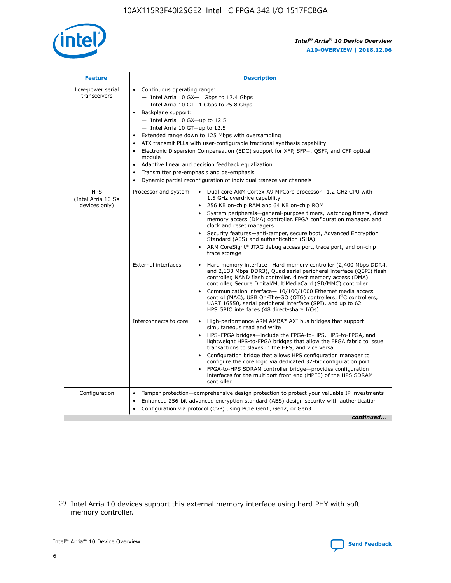

| <b>Feature</b>                                    | <b>Description</b>                                                                                                                                                                                                                                                                                                                                                                                                                                                                                                                                                                                                                         |
|---------------------------------------------------|--------------------------------------------------------------------------------------------------------------------------------------------------------------------------------------------------------------------------------------------------------------------------------------------------------------------------------------------------------------------------------------------------------------------------------------------------------------------------------------------------------------------------------------------------------------------------------------------------------------------------------------------|
| Low-power serial<br>transceivers                  | • Continuous operating range:<br>- Intel Arria 10 GX-1 Gbps to 17.4 Gbps<br>- Intel Arria 10 GT-1 Gbps to 25.8 Gbps<br>Backplane support:<br>$-$ Intel Arria 10 GX-up to 12.5<br>- Intel Arria 10 GT-up to 12.5<br>Extended range down to 125 Mbps with oversampling<br>ATX transmit PLLs with user-configurable fractional synthesis capability<br>Electronic Dispersion Compensation (EDC) support for XFP, SFP+, QSFP, and CFP optical<br>module<br>• Adaptive linear and decision feedback equalization<br>Transmitter pre-emphasis and de-emphasis<br>$\bullet$<br>Dynamic partial reconfiguration of individual transceiver channels |
| <b>HPS</b><br>(Intel Arria 10 SX<br>devices only) | Dual-core ARM Cortex-A9 MPCore processor-1.2 GHz CPU with<br>Processor and system<br>$\bullet$<br>1.5 GHz overdrive capability<br>256 KB on-chip RAM and 64 KB on-chip ROM<br>System peripherals-general-purpose timers, watchdog timers, direct<br>memory access (DMA) controller, FPGA configuration manager, and<br>clock and reset managers<br>Security features-anti-tamper, secure boot, Advanced Encryption<br>$\bullet$<br>Standard (AES) and authentication (SHA)<br>ARM CoreSight* JTAG debug access port, trace port, and on-chip<br>trace storage                                                                              |
|                                                   | <b>External interfaces</b><br>Hard memory interface-Hard memory controller (2,400 Mbps DDR4,<br>$\bullet$<br>and 2,133 Mbps DDR3), Quad serial peripheral interface (QSPI) flash<br>controller, NAND flash controller, direct memory access (DMA)<br>controller, Secure Digital/MultiMediaCard (SD/MMC) controller<br>Communication interface-10/100/1000 Ethernet media access<br>$\bullet$<br>control (MAC), USB On-The-GO (OTG) controllers, I <sup>2</sup> C controllers,<br>UART 16550, serial peripheral interface (SPI), and up to 62<br>HPS GPIO interfaces (48 direct-share I/Os)                                                 |
|                                                   | High-performance ARM AMBA* AXI bus bridges that support<br>Interconnects to core<br>$\bullet$<br>simultaneous read and write<br>HPS-FPGA bridges-include the FPGA-to-HPS, HPS-to-FPGA, and<br>$\bullet$<br>lightweight HPS-to-FPGA bridges that allow the FPGA fabric to issue<br>transactions to slaves in the HPS, and vice versa<br>Configuration bridge that allows HPS configuration manager to<br>configure the core logic via dedicated 32-bit configuration port<br>FPGA-to-HPS SDRAM controller bridge-provides configuration<br>interfaces for the multiport front end (MPFE) of the HPS SDRAM<br>controller                     |
| Configuration                                     | Tamper protection—comprehensive design protection to protect your valuable IP investments<br>Enhanced 256-bit advanced encryption standard (AES) design security with authentication<br>٠<br>Configuration via protocol (CvP) using PCIe Gen1, Gen2, or Gen3<br>continued                                                                                                                                                                                                                                                                                                                                                                  |

<sup>(2)</sup> Intel Arria 10 devices support this external memory interface using hard PHY with soft memory controller.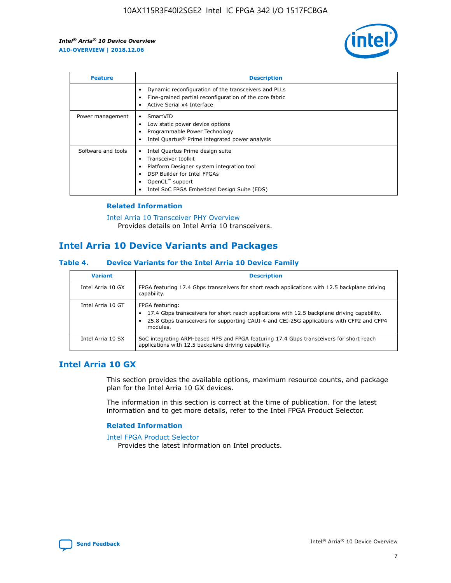

| <b>Feature</b>     | <b>Description</b>                                                                                                                                                                                               |
|--------------------|------------------------------------------------------------------------------------------------------------------------------------------------------------------------------------------------------------------|
|                    | Dynamic reconfiguration of the transceivers and PLLs<br>Fine-grained partial reconfiguration of the core fabric<br>Active Serial x4 Interface<br>$\bullet$                                                       |
| Power management   | SmartVID<br>$\bullet$<br>Low static power device options<br>Programmable Power Technology<br>Intel Quartus <sup>®</sup> Prime integrated power analysis                                                          |
| Software and tools | Intel Quartus Prime design suite<br>Transceiver toolkit<br>Platform Designer system integration tool<br>DSP Builder for Intel FPGAs<br>OpenCL <sup>"</sup> support<br>Intel SoC FPGA Embedded Design Suite (EDS) |

## **Related Information**

[Intel Arria 10 Transceiver PHY Overview](https://www.intel.com/content/www/us/en/programmable/documentation/nik1398707230472.html#nik1398706768037) Provides details on Intel Arria 10 transceivers.

# **Intel Arria 10 Device Variants and Packages**

#### **Table 4. Device Variants for the Intel Arria 10 Device Family**

| <b>Variant</b>    | <b>Description</b>                                                                                                                                                                                                     |
|-------------------|------------------------------------------------------------------------------------------------------------------------------------------------------------------------------------------------------------------------|
| Intel Arria 10 GX | FPGA featuring 17.4 Gbps transceivers for short reach applications with 12.5 backplane driving<br>capability.                                                                                                          |
| Intel Arria 10 GT | FPGA featuring:<br>17.4 Gbps transceivers for short reach applications with 12.5 backplane driving capability.<br>25.8 Gbps transceivers for supporting CAUI-4 and CEI-25G applications with CFP2 and CFP4<br>modules. |
| Intel Arria 10 SX | SoC integrating ARM-based HPS and FPGA featuring 17.4 Gbps transceivers for short reach<br>applications with 12.5 backplane driving capability.                                                                        |

# **Intel Arria 10 GX**

This section provides the available options, maximum resource counts, and package plan for the Intel Arria 10 GX devices.

The information in this section is correct at the time of publication. For the latest information and to get more details, refer to the Intel FPGA Product Selector.

#### **Related Information**

#### [Intel FPGA Product Selector](http://www.altera.com/products/selector/psg-selector.html) Provides the latest information on Intel products.

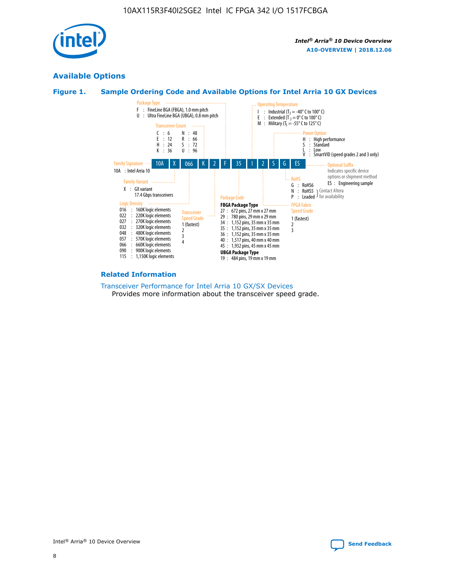

# **Available Options**





#### **Related Information**

[Transceiver Performance for Intel Arria 10 GX/SX Devices](https://www.intel.com/content/www/us/en/programmable/documentation/mcn1413182292568.html#mcn1413213965502) Provides more information about the transceiver speed grade.

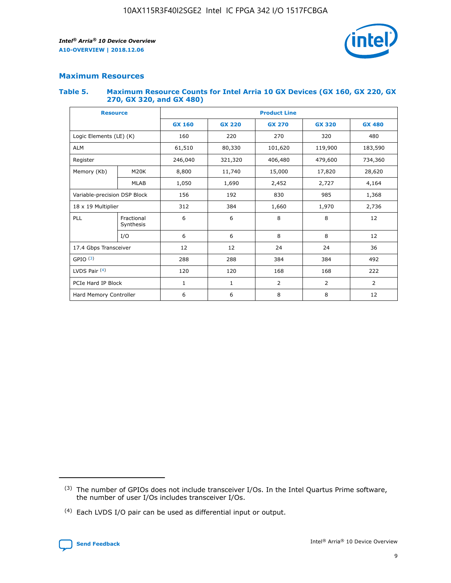

# **Maximum Resources**

#### **Table 5. Maximum Resource Counts for Intel Arria 10 GX Devices (GX 160, GX 220, GX 270, GX 320, and GX 480)**

| <b>Resource</b>         |                              | <b>Product Line</b> |                                |                |                |                |  |  |  |
|-------------------------|------------------------------|---------------------|--------------------------------|----------------|----------------|----------------|--|--|--|
|                         |                              | <b>GX 160</b>       | <b>GX 220</b><br><b>GX 270</b> |                | <b>GX 320</b>  | <b>GX 480</b>  |  |  |  |
| Logic Elements (LE) (K) |                              | 160                 | 220                            | 270            | 320            | 480            |  |  |  |
| <b>ALM</b>              |                              | 61,510              | 80,330                         | 101,620        | 119,900        | 183,590        |  |  |  |
| Register                |                              | 246,040             | 321,320                        | 406,480        | 479,600        | 734,360        |  |  |  |
| Memory (Kb)             | M <sub>20</sub> K            | 8,800               | 11,740                         | 15,000         | 17,820         | 28,620         |  |  |  |
|                         | <b>MLAB</b>                  | 1,050               | 1,690                          | 2,452          | 2,727          | 4,164          |  |  |  |
|                         | Variable-precision DSP Block |                     | 192                            | 830<br>985     |                | 1,368          |  |  |  |
| 18 x 19 Multiplier      |                              | 312                 | 384                            | 1,970<br>1,660 |                | 2,736          |  |  |  |
| PLL                     | Fractional<br>Synthesis      | 6                   | 6                              | 8              | 8              | 12             |  |  |  |
|                         | I/O                          | 6                   | 6                              | 8              | 8              | 12             |  |  |  |
| 17.4 Gbps Transceiver   |                              | 12                  | 12                             | 24             | 24             |                |  |  |  |
| GPIO <sup>(3)</sup>     |                              | 288                 | 288                            | 384<br>384     |                | 492            |  |  |  |
| LVDS Pair $(4)$         |                              | 120                 | 120                            | 168            | 168            | 222            |  |  |  |
| PCIe Hard IP Block      |                              | $\mathbf{1}$        | 1                              | $\overline{2}$ | $\overline{2}$ | $\overline{2}$ |  |  |  |
| Hard Memory Controller  |                              | 6                   | 6                              | 8              | 8              | 12             |  |  |  |

<sup>(4)</sup> Each LVDS I/O pair can be used as differential input or output.



<sup>(3)</sup> The number of GPIOs does not include transceiver I/Os. In the Intel Quartus Prime software, the number of user I/Os includes transceiver I/Os.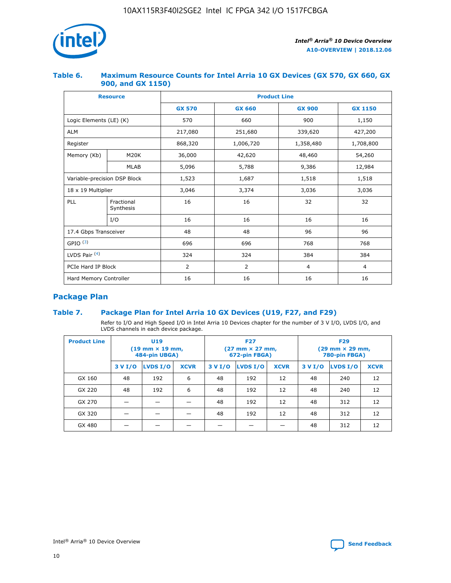

## **Table 6. Maximum Resource Counts for Intel Arria 10 GX Devices (GX 570, GX 660, GX 900, and GX 1150)**

|                              | <b>Resource</b>           | <b>Product Line</b> |                |                |                |  |  |  |
|------------------------------|---------------------------|---------------------|----------------|----------------|----------------|--|--|--|
|                              |                           | <b>GX 570</b>       | <b>GX 660</b>  | <b>GX 900</b>  | <b>GX 1150</b> |  |  |  |
| Logic Elements (LE) (K)      |                           | 570                 | 660            | 900            | 1,150          |  |  |  |
| <b>ALM</b>                   |                           | 217,080             | 251,680        | 339,620        | 427,200        |  |  |  |
| Register                     |                           | 868,320             | 1,006,720      | 1,358,480      | 1,708,800      |  |  |  |
| Memory (Kb)                  | <b>M20K</b>               | 36,000              | 42,620         | 48,460         | 54,260         |  |  |  |
|                              | <b>MLAB</b>               | 5,096               | 5,788          | 9,386          | 12,984         |  |  |  |
| Variable-precision DSP Block |                           | 1,523               | 1,687          | 1,518          | 1,518          |  |  |  |
|                              | $18 \times 19$ Multiplier |                     | 3,374          | 3,036          | 3,036          |  |  |  |
| PLL                          | Fractional<br>Synthesis   | 16                  | 16             | 32             | 32             |  |  |  |
|                              | I/O                       | 16                  | 16             | 16             | 16             |  |  |  |
| 17.4 Gbps Transceiver        |                           | 48                  | 48             | 96             | 96             |  |  |  |
| GPIO <sup>(3)</sup>          |                           | 696                 | 696            | 768            | 768            |  |  |  |
| LVDS Pair $(4)$              |                           | 324                 | 324            | 384            | 384            |  |  |  |
| PCIe Hard IP Block           |                           | 2                   | $\overline{2}$ | $\overline{4}$ | $\overline{4}$ |  |  |  |
| Hard Memory Controller       |                           | 16                  | 16             | 16             | 16             |  |  |  |

# **Package Plan**

# **Table 7. Package Plan for Intel Arria 10 GX Devices (U19, F27, and F29)**

Refer to I/O and High Speed I/O in Intel Arria 10 Devices chapter for the number of 3 V I/O, LVDS I/O, and LVDS channels in each device package.

| <b>Product Line</b> | U <sub>19</sub><br>$(19 \text{ mm} \times 19 \text{ mm})$<br>484-pin UBGA) |          |             |         | <b>F27</b><br>(27 mm × 27 mm,<br>672-pin FBGA) |             | <b>F29</b><br>(29 mm × 29 mm,<br>780-pin FBGA) |          |             |  |
|---------------------|----------------------------------------------------------------------------|----------|-------------|---------|------------------------------------------------|-------------|------------------------------------------------|----------|-------------|--|
|                     | 3 V I/O                                                                    | LVDS I/O | <b>XCVR</b> | 3 V I/O | LVDS I/O                                       | <b>XCVR</b> | 3 V I/O                                        | LVDS I/O | <b>XCVR</b> |  |
| GX 160              | 48                                                                         | 192      | 6           | 48      | 192                                            | 12          | 48                                             | 240      | 12          |  |
| GX 220              | 48                                                                         | 192      | 6           | 48      | 192                                            | 12          | 48                                             | 240      | 12          |  |
| GX 270              |                                                                            |          |             | 48      | 192                                            | 12          | 48                                             | 312      | 12          |  |
| GX 320              |                                                                            |          |             | 48      | 192                                            | 12          | 48                                             | 312      | 12          |  |
| GX 480              |                                                                            |          |             |         |                                                |             | 48                                             | 312      | 12          |  |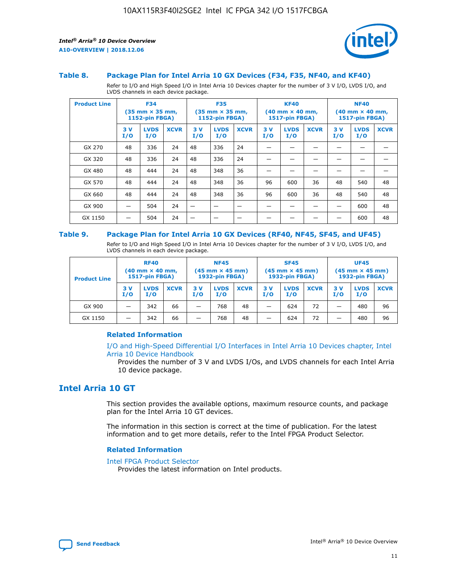

#### **Table 8. Package Plan for Intel Arria 10 GX Devices (F34, F35, NF40, and KF40)**

Refer to I/O and High Speed I/O in Intel Arria 10 Devices chapter for the number of 3 V I/O, LVDS I/O, and LVDS channels in each device package.

| <b>Product Line</b> | <b>F34</b><br>$(35 \text{ mm} \times 35 \text{ mm})$<br><b>1152-pin FBGA)</b> |                    | <b>F35</b><br>$(35 \text{ mm} \times 35 \text{ mm})$<br><b>1152-pin FBGA)</b> |           | <b>KF40</b><br>$(40$ mm $\times$ 40 mm,<br>1517-pin FBGA) |             |           | <b>NF40</b><br>$(40 \text{ mm} \times 40 \text{ mm})$<br>1517-pin FBGA) |             |           |                    |             |
|---------------------|-------------------------------------------------------------------------------|--------------------|-------------------------------------------------------------------------------|-----------|-----------------------------------------------------------|-------------|-----------|-------------------------------------------------------------------------|-------------|-----------|--------------------|-------------|
|                     | 3V<br>I/O                                                                     | <b>LVDS</b><br>I/O | <b>XCVR</b>                                                                   | 3V<br>I/O | <b>LVDS</b><br>I/O                                        | <b>XCVR</b> | 3V<br>I/O | <b>LVDS</b><br>I/O                                                      | <b>XCVR</b> | 3V<br>I/O | <b>LVDS</b><br>I/O | <b>XCVR</b> |
| GX 270              | 48                                                                            | 336                | 24                                                                            | 48        | 336                                                       | 24          |           |                                                                         |             |           |                    |             |
| GX 320              | 48                                                                            | 336                | 24                                                                            | 48        | 336                                                       | 24          |           |                                                                         |             |           |                    |             |
| GX 480              | 48                                                                            | 444                | 24                                                                            | 48        | 348                                                       | 36          |           |                                                                         |             |           |                    |             |
| GX 570              | 48                                                                            | 444                | 24                                                                            | 48        | 348                                                       | 36          | 96        | 600                                                                     | 36          | 48        | 540                | 48          |
| GX 660              | 48                                                                            | 444                | 24                                                                            | 48        | 348                                                       | 36          | 96        | 600                                                                     | 36          | 48        | 540                | 48          |
| GX 900              |                                                                               | 504                | 24                                                                            | —         |                                                           | -           |           |                                                                         |             |           | 600                | 48          |
| GX 1150             |                                                                               | 504                | 24                                                                            |           |                                                           |             |           |                                                                         |             |           | 600                | 48          |

#### **Table 9. Package Plan for Intel Arria 10 GX Devices (RF40, NF45, SF45, and UF45)**

Refer to I/O and High Speed I/O in Intel Arria 10 Devices chapter for the number of 3 V I/O, LVDS I/O, and LVDS channels in each device package.

| <b>Product Line</b> | <b>RF40</b><br>$(40$ mm $\times$ 40 mm,<br>1517-pin FBGA) |                    | <b>NF45</b><br>$(45 \text{ mm} \times 45 \text{ mm})$<br><b>1932-pin FBGA)</b> |            |                    | <b>SF45</b><br>$(45 \text{ mm} \times 45 \text{ mm})$<br><b>1932-pin FBGA)</b> |            |                    | <b>UF45</b><br>$(45 \text{ mm} \times 45 \text{ mm})$<br><b>1932-pin FBGA)</b> |           |                    |             |
|---------------------|-----------------------------------------------------------|--------------------|--------------------------------------------------------------------------------|------------|--------------------|--------------------------------------------------------------------------------|------------|--------------------|--------------------------------------------------------------------------------|-----------|--------------------|-------------|
|                     | 3V<br>I/O                                                 | <b>LVDS</b><br>I/O | <b>XCVR</b>                                                                    | 3 V<br>I/O | <b>LVDS</b><br>I/O | <b>XCVR</b>                                                                    | 3 V<br>I/O | <b>LVDS</b><br>I/O | <b>XCVR</b>                                                                    | 3V<br>I/O | <b>LVDS</b><br>I/O | <b>XCVR</b> |
| GX 900              |                                                           | 342                | 66                                                                             | _          | 768                | 48                                                                             |            | 624                | 72                                                                             |           | 480                | 96          |
| GX 1150             |                                                           | 342                | 66                                                                             | _          | 768                | 48                                                                             |            | 624                | 72                                                                             |           | 480                | 96          |

## **Related Information**

[I/O and High-Speed Differential I/O Interfaces in Intel Arria 10 Devices chapter, Intel](https://www.intel.com/content/www/us/en/programmable/documentation/sam1403482614086.html#sam1403482030321) [Arria 10 Device Handbook](https://www.intel.com/content/www/us/en/programmable/documentation/sam1403482614086.html#sam1403482030321)

Provides the number of 3 V and LVDS I/Os, and LVDS channels for each Intel Arria 10 device package.

# **Intel Arria 10 GT**

This section provides the available options, maximum resource counts, and package plan for the Intel Arria 10 GT devices.

The information in this section is correct at the time of publication. For the latest information and to get more details, refer to the Intel FPGA Product Selector.

#### **Related Information**

#### [Intel FPGA Product Selector](http://www.altera.com/products/selector/psg-selector.html)

Provides the latest information on Intel products.

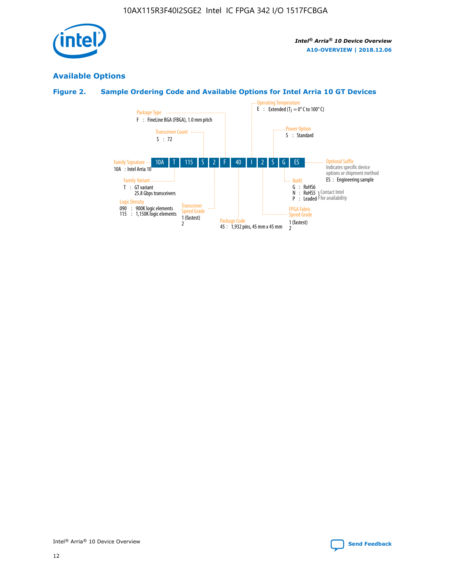

# **Available Options**

# **Figure 2. Sample Ordering Code and Available Options for Intel Arria 10 GT Devices**

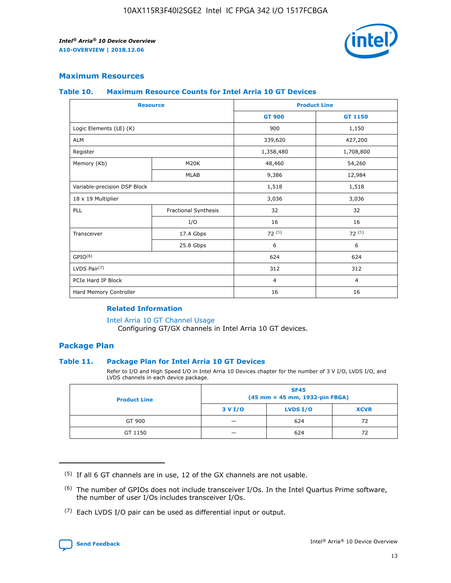

## **Maximum Resources**

#### **Table 10. Maximum Resource Counts for Intel Arria 10 GT Devices**

| <b>Resource</b>              |                      |                | <b>Product Line</b> |  |
|------------------------------|----------------------|----------------|---------------------|--|
|                              |                      | <b>GT 900</b>  | <b>GT 1150</b>      |  |
| Logic Elements (LE) (K)      |                      | 900            | 1,150               |  |
| <b>ALM</b>                   |                      | 339,620        | 427,200             |  |
| Register                     |                      | 1,358,480      | 1,708,800           |  |
| Memory (Kb)                  | M20K                 | 48,460         | 54,260              |  |
|                              | <b>MLAB</b>          | 9,386          | 12,984              |  |
| Variable-precision DSP Block |                      | 1,518          | 1,518               |  |
| 18 x 19 Multiplier           |                      | 3,036          | 3,036               |  |
| PLL                          | Fractional Synthesis | 32             | 32                  |  |
|                              | I/O                  | 16             | 16                  |  |
| Transceiver                  | 17.4 Gbps            | 72(5)          | 72(5)               |  |
|                              | 25.8 Gbps            | 6              | 6                   |  |
| GPIO <sup>(6)</sup>          |                      | 624            | 624                 |  |
| LVDS Pair $(7)$              |                      | 312            | 312                 |  |
| PCIe Hard IP Block           |                      | $\overline{4}$ | $\overline{4}$      |  |
| Hard Memory Controller       |                      | 16             | 16                  |  |

## **Related Information**

#### [Intel Arria 10 GT Channel Usage](https://www.intel.com/content/www/us/en/programmable/documentation/nik1398707230472.html#nik1398707008178)

Configuring GT/GX channels in Intel Arria 10 GT devices.

## **Package Plan**

## **Table 11. Package Plan for Intel Arria 10 GT Devices**

Refer to I/O and High Speed I/O in Intel Arria 10 Devices chapter for the number of 3 V I/O, LVDS I/O, and LVDS channels in each device package.

| <b>Product Line</b> | <b>SF45</b><br>(45 mm × 45 mm, 1932-pin FBGA) |                 |             |  |  |  |
|---------------------|-----------------------------------------------|-----------------|-------------|--|--|--|
|                     | 3 V I/O                                       | <b>LVDS I/O</b> | <b>XCVR</b> |  |  |  |
| GT 900              |                                               | 624             | 72          |  |  |  |
| GT 1150             |                                               | 624             | 72          |  |  |  |

<sup>(7)</sup> Each LVDS I/O pair can be used as differential input or output.



 $(5)$  If all 6 GT channels are in use, 12 of the GX channels are not usable.

<sup>(6)</sup> The number of GPIOs does not include transceiver I/Os. In the Intel Quartus Prime software, the number of user I/Os includes transceiver I/Os.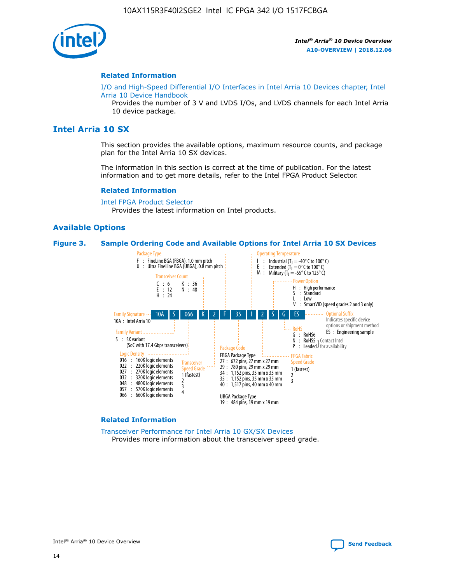

#### **Related Information**

[I/O and High-Speed Differential I/O Interfaces in Intel Arria 10 Devices chapter, Intel](https://www.intel.com/content/www/us/en/programmable/documentation/sam1403482614086.html#sam1403482030321) [Arria 10 Device Handbook](https://www.intel.com/content/www/us/en/programmable/documentation/sam1403482614086.html#sam1403482030321)

Provides the number of 3 V and LVDS I/Os, and LVDS channels for each Intel Arria 10 device package.

# **Intel Arria 10 SX**

This section provides the available options, maximum resource counts, and package plan for the Intel Arria 10 SX devices.

The information in this section is correct at the time of publication. For the latest information and to get more details, refer to the Intel FPGA Product Selector.

#### **Related Information**

[Intel FPGA Product Selector](http://www.altera.com/products/selector/psg-selector.html) Provides the latest information on Intel products.

#### **Available Options**

#### **Figure 3. Sample Ordering Code and Available Options for Intel Arria 10 SX Devices**



#### **Related Information**

[Transceiver Performance for Intel Arria 10 GX/SX Devices](https://www.intel.com/content/www/us/en/programmable/documentation/mcn1413182292568.html#mcn1413213965502) Provides more information about the transceiver speed grade.

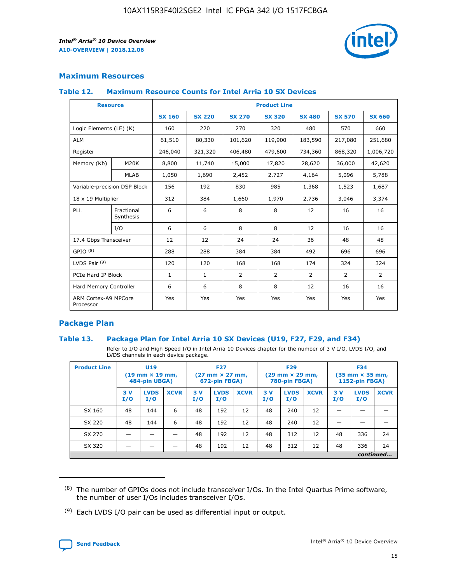

# **Maximum Resources**

#### **Table 12. Maximum Resource Counts for Intel Arria 10 SX Devices**

| <b>Resource</b>                   |                         | <b>Product Line</b> |               |               |                |               |               |               |  |  |  |
|-----------------------------------|-------------------------|---------------------|---------------|---------------|----------------|---------------|---------------|---------------|--|--|--|
|                                   |                         | <b>SX 160</b>       | <b>SX 220</b> | <b>SX 270</b> | <b>SX 320</b>  | <b>SX 480</b> | <b>SX 570</b> | <b>SX 660</b> |  |  |  |
| Logic Elements (LE) (K)           |                         | 160                 | 220           | 270           | 320            | 480           | 570           | 660           |  |  |  |
| <b>ALM</b>                        |                         | 61,510              | 80,330        | 101,620       | 119,900        | 183,590       | 217,080       | 251,680       |  |  |  |
| Register                          |                         | 246,040             | 321,320       | 406,480       | 479,600        | 734,360       | 868,320       | 1,006,720     |  |  |  |
| Memory (Kb)                       | M20K                    | 8,800               | 11,740        | 15,000        | 17,820         | 28,620        | 36,000        | 42,620        |  |  |  |
|                                   | <b>MLAB</b>             | 1,050               | 1,690         | 2,452         | 2,727          | 4,164         | 5,096         | 5,788         |  |  |  |
| Variable-precision DSP Block      |                         | 156                 | 192           | 830           | 985            | 1,368         | 1,523         | 1,687         |  |  |  |
| 18 x 19 Multiplier                |                         | 312                 | 384           | 1,660         | 1,970          | 2,736         | 3,046         | 3,374         |  |  |  |
| PLL                               | Fractional<br>Synthesis | 6                   | 6             | 8             | 8              | 12            | 16            | 16            |  |  |  |
|                                   | I/O                     | 6                   | 6             | 8             | 8              | 12            | 16            | 16            |  |  |  |
| 17.4 Gbps Transceiver             |                         | 12                  | 12            | 24            | 24             | 36            | 48            | 48            |  |  |  |
| GPIO <sup>(8)</sup>               |                         | 288                 | 288           | 384           | 384            | 492           | 696           | 696           |  |  |  |
| LVDS Pair $(9)$                   |                         | 120                 | 120           | 168           | 168            | 174           | 324           | 324           |  |  |  |
| PCIe Hard IP Block                |                         | $\mathbf{1}$        | $\mathbf{1}$  | 2             | $\overline{2}$ | 2             | 2             | 2             |  |  |  |
| Hard Memory Controller            |                         | 6                   | 6             | 8             | 8              | 12            | 16            | 16            |  |  |  |
| ARM Cortex-A9 MPCore<br>Processor |                         | Yes                 | Yes           | Yes           | Yes            | Yes           | Yes           | Yes           |  |  |  |

# **Package Plan**

## **Table 13. Package Plan for Intel Arria 10 SX Devices (U19, F27, F29, and F34)**

Refer to I/O and High Speed I/O in Intel Arria 10 Devices chapter for the number of 3 V I/O, LVDS I/O, and LVDS channels in each device package.

| <b>Product Line</b> | <b>U19</b><br>$(19$ mm $\times$ 19 mm,<br>484-pin UBGA) |                    |             | <b>F27</b><br>$(27 \text{ mm} \times 27 \text{ mm})$<br>672-pin FBGA) |                    | <b>F29</b><br>$(29 \text{ mm} \times 29 \text{ mm})$<br>780-pin FBGA) |           |                    | <b>F34</b><br>$(35 \text{ mm} \times 35 \text{ mm})$<br><b>1152-pin FBGA)</b> |           |                    |             |
|---------------------|---------------------------------------------------------|--------------------|-------------|-----------------------------------------------------------------------|--------------------|-----------------------------------------------------------------------|-----------|--------------------|-------------------------------------------------------------------------------|-----------|--------------------|-------------|
|                     | 3V<br>I/O                                               | <b>LVDS</b><br>I/O | <b>XCVR</b> | 3V<br>I/O                                                             | <b>LVDS</b><br>I/O | <b>XCVR</b>                                                           | 3V<br>I/O | <b>LVDS</b><br>I/O | <b>XCVR</b>                                                                   | 3V<br>I/O | <b>LVDS</b><br>I/O | <b>XCVR</b> |
| SX 160              | 48                                                      | 144                | 6           | 48                                                                    | 192                | 12                                                                    | 48        | 240                | 12                                                                            | -         |                    |             |
| SX 220              | 48                                                      | 144                | 6           | 48                                                                    | 192                | 12                                                                    | 48        | 240                | 12                                                                            |           |                    |             |
| SX 270              |                                                         |                    |             | 48                                                                    | 192                | 12                                                                    | 48        | 312                | 12                                                                            | 48        | 336                | 24          |
| SX 320              |                                                         |                    |             | 48                                                                    | 192                | 12                                                                    | 48        | 312                | 12                                                                            | 48        | 336                | 24          |
|                     | continued                                               |                    |             |                                                                       |                    |                                                                       |           |                    |                                                                               |           |                    |             |

 $(8)$  The number of GPIOs does not include transceiver I/Os. In the Intel Quartus Prime software, the number of user I/Os includes transceiver I/Os.

 $(9)$  Each LVDS I/O pair can be used as differential input or output.

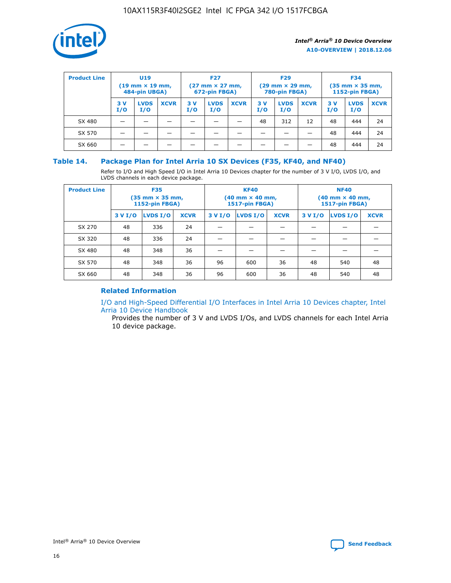

| <b>Product Line</b> | U <sub>19</sub><br>$(19 \text{ mm} \times 19 \text{ mm})$<br>484-pin UBGA) |                    | <b>F27</b><br>$(27 \text{ mm} \times 27 \text{ mm})$<br>672-pin FBGA) |           | <b>F29</b><br>$(29 \text{ mm} \times 29 \text{ mm})$<br>780-pin FBGA) |             |           | <b>F34</b><br>$(35 \text{ mm} \times 35 \text{ mm})$<br><b>1152-pin FBGA)</b> |             |           |                    |             |
|---------------------|----------------------------------------------------------------------------|--------------------|-----------------------------------------------------------------------|-----------|-----------------------------------------------------------------------|-------------|-----------|-------------------------------------------------------------------------------|-------------|-----------|--------------------|-------------|
|                     | 3 V<br>I/O                                                                 | <b>LVDS</b><br>I/O | <b>XCVR</b>                                                           | 3V<br>I/O | <b>LVDS</b><br>I/O                                                    | <b>XCVR</b> | 3V<br>I/O | <b>LVDS</b><br>I/O                                                            | <b>XCVR</b> | 3V<br>I/O | <b>LVDS</b><br>I/O | <b>XCVR</b> |
| SX 480              |                                                                            |                    |                                                                       |           |                                                                       |             | 48        | 312                                                                           | 12          | 48        | 444                | 24          |
| SX 570              |                                                                            |                    |                                                                       |           |                                                                       |             |           |                                                                               |             | 48        | 444                | 24          |
| SX 660              |                                                                            |                    |                                                                       |           |                                                                       |             |           |                                                                               |             | 48        | 444                | 24          |

## **Table 14. Package Plan for Intel Arria 10 SX Devices (F35, KF40, and NF40)**

Refer to I/O and High Speed I/O in Intel Arria 10 Devices chapter for the number of 3 V I/O, LVDS I/O, and LVDS channels in each device package.

| <b>Product Line</b> | <b>F35</b><br>$(35 \text{ mm} \times 35 \text{ mm})$<br><b>1152-pin FBGA)</b> |          |             |                                           | <b>KF40</b><br>(40 mm × 40 mm,<br>1517-pin FBGA) |    | <b>NF40</b><br>$(40 \text{ mm} \times 40 \text{ mm})$<br>1517-pin FBGA) |          |             |  |
|---------------------|-------------------------------------------------------------------------------|----------|-------------|-------------------------------------------|--------------------------------------------------|----|-------------------------------------------------------------------------|----------|-------------|--|
|                     | 3 V I/O                                                                       | LVDS I/O | <b>XCVR</b> | <b>LVDS I/O</b><br><b>XCVR</b><br>3 V I/O |                                                  |    | 3 V I/O                                                                 | LVDS I/O | <b>XCVR</b> |  |
| SX 270              | 48                                                                            | 336      | 24          |                                           |                                                  |    |                                                                         |          |             |  |
| SX 320              | 48                                                                            | 336      | 24          |                                           |                                                  |    |                                                                         |          |             |  |
| SX 480              | 48                                                                            | 348      | 36          |                                           |                                                  |    |                                                                         |          |             |  |
| SX 570              | 48                                                                            | 348      | 36          | 96                                        | 600                                              | 36 | 48                                                                      | 540      | 48          |  |
| SX 660              | 48                                                                            | 348      | 36          | 96                                        | 600                                              | 36 | 48                                                                      | 540      | 48          |  |

# **Related Information**

[I/O and High-Speed Differential I/O Interfaces in Intel Arria 10 Devices chapter, Intel](https://www.intel.com/content/www/us/en/programmable/documentation/sam1403482614086.html#sam1403482030321) [Arria 10 Device Handbook](https://www.intel.com/content/www/us/en/programmable/documentation/sam1403482614086.html#sam1403482030321)

Provides the number of 3 V and LVDS I/Os, and LVDS channels for each Intel Arria 10 device package.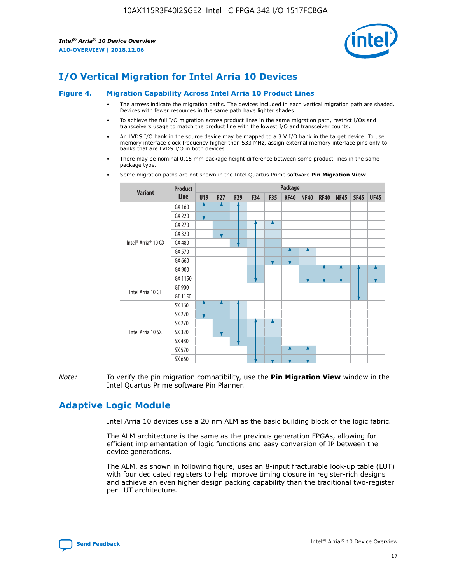

# **I/O Vertical Migration for Intel Arria 10 Devices**

#### **Figure 4. Migration Capability Across Intel Arria 10 Product Lines**

- The arrows indicate the migration paths. The devices included in each vertical migration path are shaded. Devices with fewer resources in the same path have lighter shades.
- To achieve the full I/O migration across product lines in the same migration path, restrict I/Os and transceivers usage to match the product line with the lowest I/O and transceiver counts.
- An LVDS I/O bank in the source device may be mapped to a 3 V I/O bank in the target device. To use memory interface clock frequency higher than 533 MHz, assign external memory interface pins only to banks that are LVDS I/O in both devices.
- There may be nominal 0.15 mm package height difference between some product lines in the same package type.
	- **Variant Product Line Package U19 F27 F29 F34 F35 KF40 NF40 RF40 NF45 SF45 UF45** Intel® Arria® 10 GX GX 160 GX 220 GX 270 GX 320 GX 480 GX 570 GX 660 GX 900 GX 1150 Intel Arria 10 GT GT 900 GT 1150 Intel Arria 10 SX SX 160 SX 220 SX 270 SX 320 SX 480 SX 570 SX 660
- Some migration paths are not shown in the Intel Quartus Prime software **Pin Migration View**.

*Note:* To verify the pin migration compatibility, use the **Pin Migration View** window in the Intel Quartus Prime software Pin Planner.

# **Adaptive Logic Module**

Intel Arria 10 devices use a 20 nm ALM as the basic building block of the logic fabric.

The ALM architecture is the same as the previous generation FPGAs, allowing for efficient implementation of logic functions and easy conversion of IP between the device generations.

The ALM, as shown in following figure, uses an 8-input fracturable look-up table (LUT) with four dedicated registers to help improve timing closure in register-rich designs and achieve an even higher design packing capability than the traditional two-register per LUT architecture.

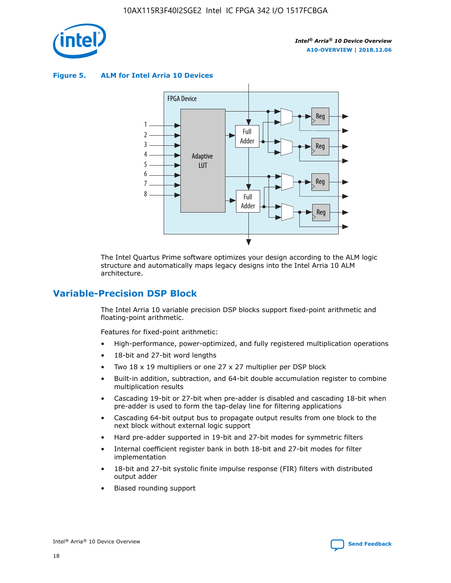

**Figure 5. ALM for Intel Arria 10 Devices**



The Intel Quartus Prime software optimizes your design according to the ALM logic structure and automatically maps legacy designs into the Intel Arria 10 ALM architecture.

# **Variable-Precision DSP Block**

The Intel Arria 10 variable precision DSP blocks support fixed-point arithmetic and floating-point arithmetic.

Features for fixed-point arithmetic:

- High-performance, power-optimized, and fully registered multiplication operations
- 18-bit and 27-bit word lengths
- Two 18 x 19 multipliers or one 27 x 27 multiplier per DSP block
- Built-in addition, subtraction, and 64-bit double accumulation register to combine multiplication results
- Cascading 19-bit or 27-bit when pre-adder is disabled and cascading 18-bit when pre-adder is used to form the tap-delay line for filtering applications
- Cascading 64-bit output bus to propagate output results from one block to the next block without external logic support
- Hard pre-adder supported in 19-bit and 27-bit modes for symmetric filters
- Internal coefficient register bank in both 18-bit and 27-bit modes for filter implementation
- 18-bit and 27-bit systolic finite impulse response (FIR) filters with distributed output adder
- Biased rounding support

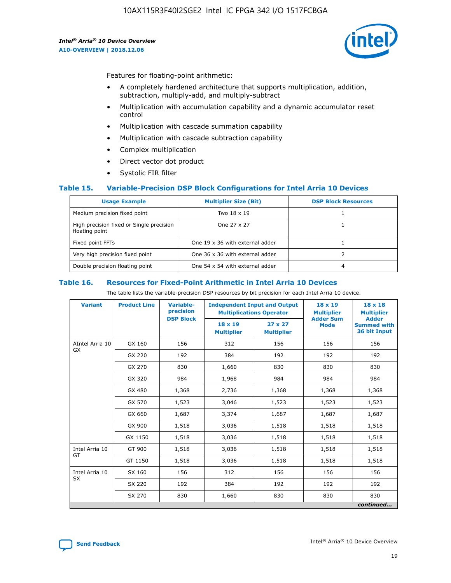

Features for floating-point arithmetic:

- A completely hardened architecture that supports multiplication, addition, subtraction, multiply-add, and multiply-subtract
- Multiplication with accumulation capability and a dynamic accumulator reset control
- Multiplication with cascade summation capability
- Multiplication with cascade subtraction capability
- Complex multiplication
- Direct vector dot product
- Systolic FIR filter

## **Table 15. Variable-Precision DSP Block Configurations for Intel Arria 10 Devices**

| <b>Usage Example</b>                                       | <b>Multiplier Size (Bit)</b>    | <b>DSP Block Resources</b> |
|------------------------------------------------------------|---------------------------------|----------------------------|
| Medium precision fixed point                               | Two 18 x 19                     |                            |
| High precision fixed or Single precision<br>floating point | One 27 x 27                     |                            |
| Fixed point FFTs                                           | One 19 x 36 with external adder |                            |
| Very high precision fixed point                            | One 36 x 36 with external adder |                            |
| Double precision floating point                            | One 54 x 54 with external adder | 4                          |

#### **Table 16. Resources for Fixed-Point Arithmetic in Intel Arria 10 Devices**

The table lists the variable-precision DSP resources by bit precision for each Intel Arria 10 device.

| <b>Variant</b>  | <b>Product Line</b> | Variable-<br>precision<br><b>DSP Block</b> | <b>Independent Input and Output</b><br><b>Multiplications Operator</b> |                                     | 18 x 19<br><b>Multiplier</b><br><b>Adder Sum</b> | $18 \times 18$<br><b>Multiplier</b><br><b>Adder</b> |
|-----------------|---------------------|--------------------------------------------|------------------------------------------------------------------------|-------------------------------------|--------------------------------------------------|-----------------------------------------------------|
|                 |                     |                                            | 18 x 19<br><b>Multiplier</b>                                           | $27 \times 27$<br><b>Multiplier</b> | <b>Mode</b>                                      | <b>Summed with</b><br>36 bit Input                  |
| AIntel Arria 10 | GX 160              | 156                                        | 312                                                                    | 156                                 | 156                                              | 156                                                 |
| GX              | GX 220              | 192                                        | 384                                                                    | 192                                 | 192                                              | 192                                                 |
|                 | GX 270              | 830                                        | 1,660                                                                  | 830                                 | 830                                              | 830                                                 |
|                 | GX 320              | 984                                        | 1,968                                                                  | 984                                 | 984                                              | 984                                                 |
|                 | GX 480              | 1,368                                      | 2,736                                                                  | 1,368                               | 1,368                                            | 1,368                                               |
|                 | GX 570              | 1,523                                      | 3,046                                                                  | 1,523                               | 1,523                                            | 1,523                                               |
|                 | GX 660              | 1,687                                      | 3,374                                                                  | 1,687                               | 1,687                                            | 1,687                                               |
|                 | GX 900              | 1,518                                      | 3,036                                                                  | 1,518                               | 1,518                                            | 1,518                                               |
|                 | GX 1150             | 1,518                                      | 3,036                                                                  | 1,518                               | 1,518                                            | 1,518                                               |
| Intel Arria 10  | GT 900              | 1,518                                      | 3,036                                                                  | 1,518                               | 1,518                                            | 1,518                                               |
| GT              | GT 1150             | 1,518                                      | 3,036                                                                  | 1,518                               | 1,518                                            | 1,518                                               |
| Intel Arria 10  | SX 160              | 156                                        | 312                                                                    | 156                                 | 156                                              | 156                                                 |
| <b>SX</b>       | SX 220<br>192       |                                            | 384                                                                    | 192                                 | 192                                              | 192                                                 |
|                 | SX 270              | 830                                        | 1,660                                                                  | 830                                 | 830                                              | 830                                                 |
|                 |                     |                                            |                                                                        |                                     |                                                  | continued                                           |

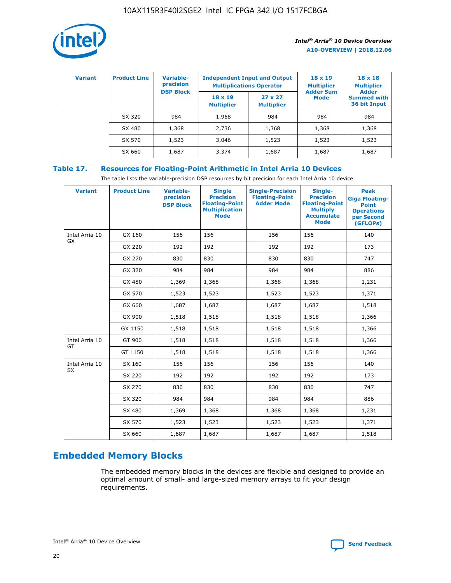

| <b>Variant</b> | <b>Product Line</b> | Variable-<br>precision | <b>Independent Input and Output</b><br><b>Multiplications Operator</b> |                                     | $18 \times 19$<br><b>Multiplier</b> | $18 \times 18$<br><b>Multiplier</b><br><b>Adder</b> |  |
|----------------|---------------------|------------------------|------------------------------------------------------------------------|-------------------------------------|-------------------------------------|-----------------------------------------------------|--|
|                |                     | <b>DSP Block</b>       | $18 \times 19$<br><b>Multiplier</b>                                    | $27 \times 27$<br><b>Multiplier</b> | <b>Adder Sum</b><br><b>Mode</b>     | <b>Summed with</b><br>36 bit Input                  |  |
|                | SX 320              | 984                    | 1,968                                                                  | 984                                 | 984                                 | 984                                                 |  |
|                | SX 480              | 1,368                  | 2,736                                                                  | 1,368                               | 1,368                               | 1,368                                               |  |
|                | SX 570              | 1,523                  | 3,046                                                                  | 1,523                               | 1,523                               | 1,523                                               |  |
|                | SX 660              | 1,687                  | 3,374                                                                  | 1,687                               | 1,687                               | 1,687                                               |  |

# **Table 17. Resources for Floating-Point Arithmetic in Intel Arria 10 Devices**

The table lists the variable-precision DSP resources by bit precision for each Intel Arria 10 device.

| <b>Variant</b> | <b>Product Line</b> | <b>Variable-</b><br>precision<br><b>DSP Block</b> | <b>Single</b><br><b>Precision</b><br><b>Floating-Point</b><br><b>Multiplication</b><br><b>Mode</b> | <b>Single-Precision</b><br><b>Floating-Point</b><br><b>Adder Mode</b> | Single-<br><b>Precision</b><br><b>Floating-Point</b><br><b>Multiply</b><br><b>Accumulate</b><br><b>Mode</b> | <b>Peak</b><br><b>Giga Floating-</b><br><b>Point</b><br><b>Operations</b><br>per Second<br>(GFLOPs) |
|----------------|---------------------|---------------------------------------------------|----------------------------------------------------------------------------------------------------|-----------------------------------------------------------------------|-------------------------------------------------------------------------------------------------------------|-----------------------------------------------------------------------------------------------------|
| Intel Arria 10 | GX 160              | 156                                               | 156                                                                                                | 156                                                                   | 156                                                                                                         | 140                                                                                                 |
| GX             | GX 220              | 192                                               | 192                                                                                                | 192                                                                   | 192                                                                                                         | 173                                                                                                 |
|                | GX 270              | 830                                               | 830                                                                                                | 830                                                                   | 830                                                                                                         | 747                                                                                                 |
|                | GX 320              | 984                                               | 984                                                                                                | 984                                                                   | 984                                                                                                         | 886                                                                                                 |
|                | GX 480              | 1,369                                             | 1,368                                                                                              | 1,368                                                                 | 1,368                                                                                                       | 1,231                                                                                               |
|                | GX 570              | 1,523                                             | 1,523                                                                                              | 1,523                                                                 | 1,523                                                                                                       | 1,371                                                                                               |
|                | GX 660              | 1,687                                             | 1,687                                                                                              | 1,687                                                                 | 1,687                                                                                                       | 1,518                                                                                               |
|                | GX 900              | 1,518                                             | 1,518                                                                                              | 1,518                                                                 | 1,518                                                                                                       | 1,366                                                                                               |
|                | GX 1150             | 1,518                                             | 1,518                                                                                              | 1,518                                                                 | 1,518                                                                                                       | 1,366                                                                                               |
| Intel Arria 10 | GT 900              | 1,518                                             | 1,518                                                                                              | 1,518                                                                 | 1,518                                                                                                       | 1,366                                                                                               |
| GT             | GT 1150             | 1,518                                             | 1,518                                                                                              | 1,518                                                                 | 1,518                                                                                                       | 1,366                                                                                               |
| Intel Arria 10 | SX 160              | 156                                               | 156                                                                                                | 156                                                                   | 156                                                                                                         | 140                                                                                                 |
| SX             | SX 220              | 192                                               | 192                                                                                                | 192                                                                   | 192                                                                                                         | 173                                                                                                 |
|                | SX 270              | 830                                               | 830                                                                                                | 830                                                                   | 830                                                                                                         | 747                                                                                                 |
|                | SX 320              | 984                                               | 984                                                                                                | 984                                                                   | 984                                                                                                         | 886                                                                                                 |
|                | SX 480              | 1,369                                             | 1,368                                                                                              | 1,368                                                                 | 1,368                                                                                                       | 1,231                                                                                               |
|                | SX 570              | 1,523                                             | 1,523                                                                                              | 1,523                                                                 | 1,523                                                                                                       | 1,371                                                                                               |
|                | SX 660              | 1,687                                             | 1,687                                                                                              | 1,687                                                                 | 1,687                                                                                                       | 1,518                                                                                               |

# **Embedded Memory Blocks**

The embedded memory blocks in the devices are flexible and designed to provide an optimal amount of small- and large-sized memory arrays to fit your design requirements.

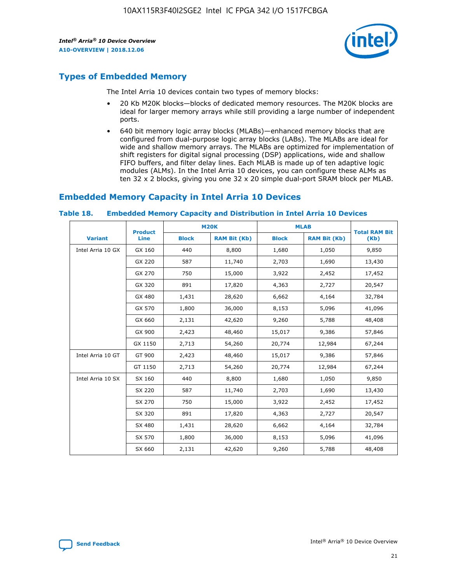

# **Types of Embedded Memory**

The Intel Arria 10 devices contain two types of memory blocks:

- 20 Kb M20K blocks—blocks of dedicated memory resources. The M20K blocks are ideal for larger memory arrays while still providing a large number of independent ports.
- 640 bit memory logic array blocks (MLABs)—enhanced memory blocks that are configured from dual-purpose logic array blocks (LABs). The MLABs are ideal for wide and shallow memory arrays. The MLABs are optimized for implementation of shift registers for digital signal processing (DSP) applications, wide and shallow FIFO buffers, and filter delay lines. Each MLAB is made up of ten adaptive logic modules (ALMs). In the Intel Arria 10 devices, you can configure these ALMs as ten 32 x 2 blocks, giving you one 32 x 20 simple dual-port SRAM block per MLAB.

# **Embedded Memory Capacity in Intel Arria 10 Devices**

|                   | <b>Product</b> | <b>M20K</b>  |                     | <b>MLAB</b>  |                     | <b>Total RAM Bit</b> |
|-------------------|----------------|--------------|---------------------|--------------|---------------------|----------------------|
| <b>Variant</b>    | <b>Line</b>    | <b>Block</b> | <b>RAM Bit (Kb)</b> | <b>Block</b> | <b>RAM Bit (Kb)</b> | (Kb)                 |
| Intel Arria 10 GX | GX 160         | 440          | 8,800               | 1,680        | 1,050               | 9,850                |
|                   | GX 220         | 587          | 11,740              | 2,703        | 1,690               | 13,430               |
|                   | GX 270         | 750          | 15,000              | 3,922        | 2,452               | 17,452               |
|                   | GX 320         | 891          | 17,820              | 4,363        | 2,727               | 20,547               |
|                   | GX 480         | 1,431        | 28,620              | 6,662        | 4,164               | 32,784               |
|                   | GX 570         | 1,800        | 36,000              | 8,153        | 5,096               | 41,096               |
|                   | GX 660         | 2,131        | 42,620              | 9,260        | 5,788               | 48,408               |
|                   | GX 900         | 2,423        | 48,460              | 15,017       | 9,386               | 57,846               |
|                   | GX 1150        | 2,713        | 54,260              | 20,774       | 12,984              | 67,244               |
| Intel Arria 10 GT | GT 900         | 2,423        | 48,460              | 15,017       | 9,386               | 57,846               |
|                   | GT 1150        | 2,713        | 54,260              | 20,774       | 12,984              | 67,244               |
| Intel Arria 10 SX | SX 160         | 440          | 8,800               | 1,680        | 1,050               | 9,850                |
|                   | SX 220         | 587          | 11,740              | 2,703        | 1,690               | 13,430               |
|                   | SX 270         | 750          | 15,000              | 3,922        | 2,452               | 17,452               |
|                   | SX 320         | 891          | 17,820              | 4,363        | 2,727               | 20,547               |
|                   | SX 480         | 1,431        | 28,620              | 6,662        | 4,164               | 32,784               |
|                   | SX 570         | 1,800        | 36,000              | 8,153        | 5,096               | 41,096               |
|                   | SX 660         | 2,131        | 42,620              | 9,260        | 5,788               | 48,408               |

#### **Table 18. Embedded Memory Capacity and Distribution in Intel Arria 10 Devices**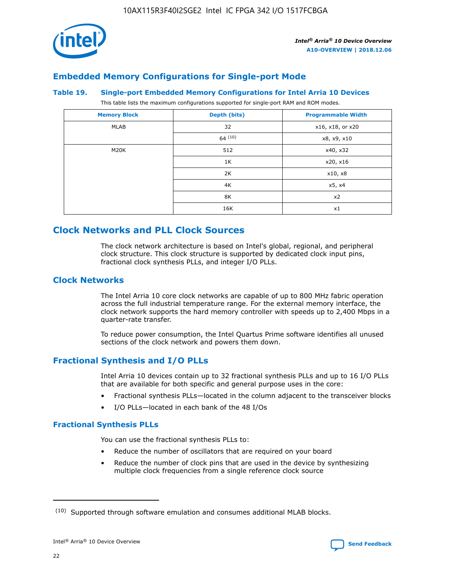

# **Embedded Memory Configurations for Single-port Mode**

#### **Table 19. Single-port Embedded Memory Configurations for Intel Arria 10 Devices**

This table lists the maximum configurations supported for single-port RAM and ROM modes.

| <b>Memory Block</b> | Depth (bits) | <b>Programmable Width</b> |
|---------------------|--------------|---------------------------|
| MLAB                | 32           | x16, x18, or x20          |
|                     | 64(10)       | x8, x9, x10               |
| M20K                | 512          | x40, x32                  |
|                     | 1K           | x20, x16                  |
|                     | 2K           | x10, x8                   |
|                     | 4K           | x5, x4                    |
|                     | 8K           | x2                        |
|                     | 16K          | x1                        |

# **Clock Networks and PLL Clock Sources**

The clock network architecture is based on Intel's global, regional, and peripheral clock structure. This clock structure is supported by dedicated clock input pins, fractional clock synthesis PLLs, and integer I/O PLLs.

# **Clock Networks**

The Intel Arria 10 core clock networks are capable of up to 800 MHz fabric operation across the full industrial temperature range. For the external memory interface, the clock network supports the hard memory controller with speeds up to 2,400 Mbps in a quarter-rate transfer.

To reduce power consumption, the Intel Quartus Prime software identifies all unused sections of the clock network and powers them down.

# **Fractional Synthesis and I/O PLLs**

Intel Arria 10 devices contain up to 32 fractional synthesis PLLs and up to 16 I/O PLLs that are available for both specific and general purpose uses in the core:

- Fractional synthesis PLLs—located in the column adjacent to the transceiver blocks
- I/O PLLs—located in each bank of the 48 I/Os

## **Fractional Synthesis PLLs**

You can use the fractional synthesis PLLs to:

- Reduce the number of oscillators that are required on your board
- Reduce the number of clock pins that are used in the device by synthesizing multiple clock frequencies from a single reference clock source

<sup>(10)</sup> Supported through software emulation and consumes additional MLAB blocks.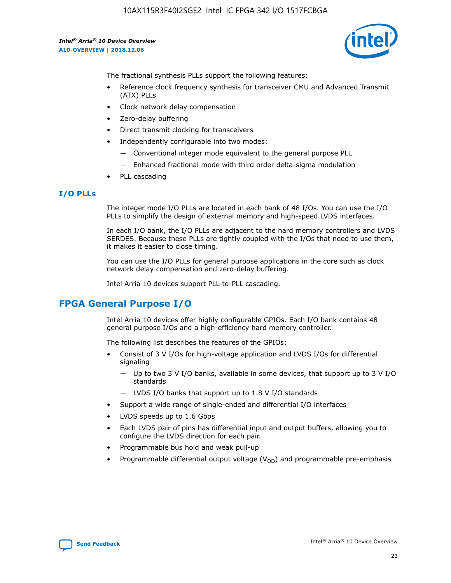

The fractional synthesis PLLs support the following features:

- Reference clock frequency synthesis for transceiver CMU and Advanced Transmit (ATX) PLLs
- Clock network delay compensation
- Zero-delay buffering
- Direct transmit clocking for transceivers
- Independently configurable into two modes:
	- Conventional integer mode equivalent to the general purpose PLL
	- Enhanced fractional mode with third order delta-sigma modulation
- PLL cascading

# **I/O PLLs**

The integer mode I/O PLLs are located in each bank of 48 I/Os. You can use the I/O PLLs to simplify the design of external memory and high-speed LVDS interfaces.

In each I/O bank, the I/O PLLs are adjacent to the hard memory controllers and LVDS SERDES. Because these PLLs are tightly coupled with the I/Os that need to use them, it makes it easier to close timing.

You can use the I/O PLLs for general purpose applications in the core such as clock network delay compensation and zero-delay buffering.

Intel Arria 10 devices support PLL-to-PLL cascading.

# **FPGA General Purpose I/O**

Intel Arria 10 devices offer highly configurable GPIOs. Each I/O bank contains 48 general purpose I/Os and a high-efficiency hard memory controller.

The following list describes the features of the GPIOs:

- Consist of 3 V I/Os for high-voltage application and LVDS I/Os for differential signaling
	- Up to two 3 V I/O banks, available in some devices, that support up to 3 V I/O standards
	- LVDS I/O banks that support up to 1.8 V I/O standards
- Support a wide range of single-ended and differential I/O interfaces
- LVDS speeds up to 1.6 Gbps
- Each LVDS pair of pins has differential input and output buffers, allowing you to configure the LVDS direction for each pair.
- Programmable bus hold and weak pull-up
- Programmable differential output voltage  $(V_{OD})$  and programmable pre-emphasis

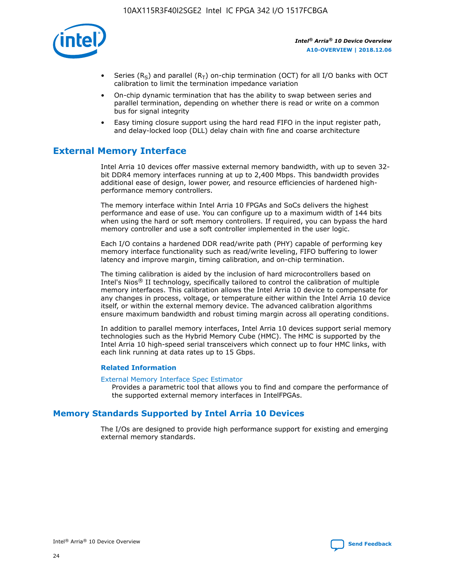

- Series (R<sub>S</sub>) and parallel (R<sub>T</sub>) on-chip termination (OCT) for all I/O banks with OCT calibration to limit the termination impedance variation
- On-chip dynamic termination that has the ability to swap between series and parallel termination, depending on whether there is read or write on a common bus for signal integrity
- Easy timing closure support using the hard read FIFO in the input register path, and delay-locked loop (DLL) delay chain with fine and coarse architecture

# **External Memory Interface**

Intel Arria 10 devices offer massive external memory bandwidth, with up to seven 32 bit DDR4 memory interfaces running at up to 2,400 Mbps. This bandwidth provides additional ease of design, lower power, and resource efficiencies of hardened highperformance memory controllers.

The memory interface within Intel Arria 10 FPGAs and SoCs delivers the highest performance and ease of use. You can configure up to a maximum width of 144 bits when using the hard or soft memory controllers. If required, you can bypass the hard memory controller and use a soft controller implemented in the user logic.

Each I/O contains a hardened DDR read/write path (PHY) capable of performing key memory interface functionality such as read/write leveling, FIFO buffering to lower latency and improve margin, timing calibration, and on-chip termination.

The timing calibration is aided by the inclusion of hard microcontrollers based on Intel's Nios® II technology, specifically tailored to control the calibration of multiple memory interfaces. This calibration allows the Intel Arria 10 device to compensate for any changes in process, voltage, or temperature either within the Intel Arria 10 device itself, or within the external memory device. The advanced calibration algorithms ensure maximum bandwidth and robust timing margin across all operating conditions.

In addition to parallel memory interfaces, Intel Arria 10 devices support serial memory technologies such as the Hybrid Memory Cube (HMC). The HMC is supported by the Intel Arria 10 high-speed serial transceivers which connect up to four HMC links, with each link running at data rates up to 15 Gbps.

## **Related Information**

#### [External Memory Interface Spec Estimator](http://www.altera.com/technology/memory/estimator/mem-emif-index.html)

Provides a parametric tool that allows you to find and compare the performance of the supported external memory interfaces in IntelFPGAs.

# **Memory Standards Supported by Intel Arria 10 Devices**

The I/Os are designed to provide high performance support for existing and emerging external memory standards.

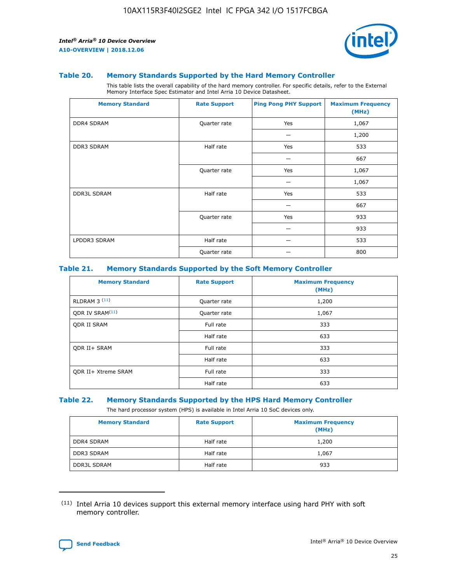

#### **Table 20. Memory Standards Supported by the Hard Memory Controller**

This table lists the overall capability of the hard memory controller. For specific details, refer to the External Memory Interface Spec Estimator and Intel Arria 10 Device Datasheet.

| <b>Memory Standard</b> | <b>Rate Support</b> | <b>Ping Pong PHY Support</b> | <b>Maximum Frequency</b><br>(MHz) |
|------------------------|---------------------|------------------------------|-----------------------------------|
| <b>DDR4 SDRAM</b>      | Quarter rate        | Yes                          | 1,067                             |
|                        |                     |                              | 1,200                             |
| DDR3 SDRAM             | Half rate           | Yes                          | 533                               |
|                        |                     |                              | 667                               |
|                        | Quarter rate        | Yes                          | 1,067                             |
|                        |                     |                              | 1,067                             |
| <b>DDR3L SDRAM</b>     | Half rate           | Yes                          | 533                               |
|                        |                     |                              | 667                               |
|                        | Quarter rate        | Yes                          | 933                               |
|                        |                     |                              | 933                               |
| LPDDR3 SDRAM           | Half rate           |                              | 533                               |
|                        | Quarter rate        |                              | 800                               |

## **Table 21. Memory Standards Supported by the Soft Memory Controller**

| <b>Memory Standard</b>      | <b>Rate Support</b> | <b>Maximum Frequency</b><br>(MHz) |
|-----------------------------|---------------------|-----------------------------------|
| <b>RLDRAM 3 (11)</b>        | Quarter rate        | 1,200                             |
| ODR IV SRAM <sup>(11)</sup> | Quarter rate        | 1,067                             |
| <b>ODR II SRAM</b>          | Full rate           | 333                               |
|                             | Half rate           | 633                               |
| <b>ODR II+ SRAM</b>         | Full rate           | 333                               |
|                             | Half rate           | 633                               |
| <b>ODR II+ Xtreme SRAM</b>  | Full rate           | 333                               |
|                             | Half rate           | 633                               |

#### **Table 22. Memory Standards Supported by the HPS Hard Memory Controller**

The hard processor system (HPS) is available in Intel Arria 10 SoC devices only.

| <b>Memory Standard</b> | <b>Rate Support</b> | <b>Maximum Frequency</b><br>(MHz) |
|------------------------|---------------------|-----------------------------------|
| <b>DDR4 SDRAM</b>      | Half rate           | 1,200                             |
| <b>DDR3 SDRAM</b>      | Half rate           | 1,067                             |
| <b>DDR3L SDRAM</b>     | Half rate           | 933                               |

<sup>(11)</sup> Intel Arria 10 devices support this external memory interface using hard PHY with soft memory controller.

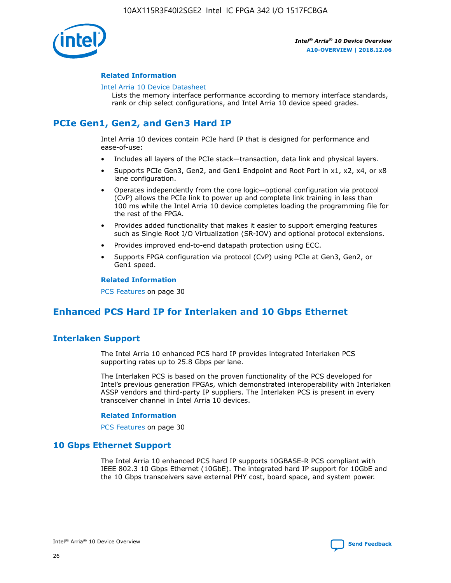

## **Related Information**

#### [Intel Arria 10 Device Datasheet](https://www.intel.com/content/www/us/en/programmable/documentation/mcn1413182292568.html#mcn1413182153340)

Lists the memory interface performance according to memory interface standards, rank or chip select configurations, and Intel Arria 10 device speed grades.

# **PCIe Gen1, Gen2, and Gen3 Hard IP**

Intel Arria 10 devices contain PCIe hard IP that is designed for performance and ease-of-use:

- Includes all layers of the PCIe stack—transaction, data link and physical layers.
- Supports PCIe Gen3, Gen2, and Gen1 Endpoint and Root Port in x1, x2, x4, or x8 lane configuration.
- Operates independently from the core logic—optional configuration via protocol (CvP) allows the PCIe link to power up and complete link training in less than 100 ms while the Intel Arria 10 device completes loading the programming file for the rest of the FPGA.
- Provides added functionality that makes it easier to support emerging features such as Single Root I/O Virtualization (SR-IOV) and optional protocol extensions.
- Provides improved end-to-end datapath protection using ECC.
- Supports FPGA configuration via protocol (CvP) using PCIe at Gen3, Gen2, or Gen1 speed.

#### **Related Information**

PCS Features on page 30

# **Enhanced PCS Hard IP for Interlaken and 10 Gbps Ethernet**

# **Interlaken Support**

The Intel Arria 10 enhanced PCS hard IP provides integrated Interlaken PCS supporting rates up to 25.8 Gbps per lane.

The Interlaken PCS is based on the proven functionality of the PCS developed for Intel's previous generation FPGAs, which demonstrated interoperability with Interlaken ASSP vendors and third-party IP suppliers. The Interlaken PCS is present in every transceiver channel in Intel Arria 10 devices.

## **Related Information**

PCS Features on page 30

# **10 Gbps Ethernet Support**

The Intel Arria 10 enhanced PCS hard IP supports 10GBASE-R PCS compliant with IEEE 802.3 10 Gbps Ethernet (10GbE). The integrated hard IP support for 10GbE and the 10 Gbps transceivers save external PHY cost, board space, and system power.

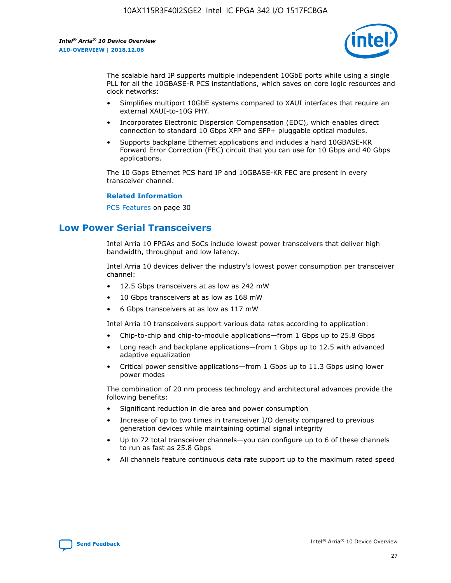

The scalable hard IP supports multiple independent 10GbE ports while using a single PLL for all the 10GBASE-R PCS instantiations, which saves on core logic resources and clock networks:

- Simplifies multiport 10GbE systems compared to XAUI interfaces that require an external XAUI-to-10G PHY.
- Incorporates Electronic Dispersion Compensation (EDC), which enables direct connection to standard 10 Gbps XFP and SFP+ pluggable optical modules.
- Supports backplane Ethernet applications and includes a hard 10GBASE-KR Forward Error Correction (FEC) circuit that you can use for 10 Gbps and 40 Gbps applications.

The 10 Gbps Ethernet PCS hard IP and 10GBASE-KR FEC are present in every transceiver channel.

#### **Related Information**

PCS Features on page 30

# **Low Power Serial Transceivers**

Intel Arria 10 FPGAs and SoCs include lowest power transceivers that deliver high bandwidth, throughput and low latency.

Intel Arria 10 devices deliver the industry's lowest power consumption per transceiver channel:

- 12.5 Gbps transceivers at as low as 242 mW
- 10 Gbps transceivers at as low as 168 mW
- 6 Gbps transceivers at as low as 117 mW

Intel Arria 10 transceivers support various data rates according to application:

- Chip-to-chip and chip-to-module applications—from 1 Gbps up to 25.8 Gbps
- Long reach and backplane applications—from 1 Gbps up to 12.5 with advanced adaptive equalization
- Critical power sensitive applications—from 1 Gbps up to 11.3 Gbps using lower power modes

The combination of 20 nm process technology and architectural advances provide the following benefits:

- Significant reduction in die area and power consumption
- Increase of up to two times in transceiver I/O density compared to previous generation devices while maintaining optimal signal integrity
- Up to 72 total transceiver channels—you can configure up to 6 of these channels to run as fast as 25.8 Gbps
- All channels feature continuous data rate support up to the maximum rated speed

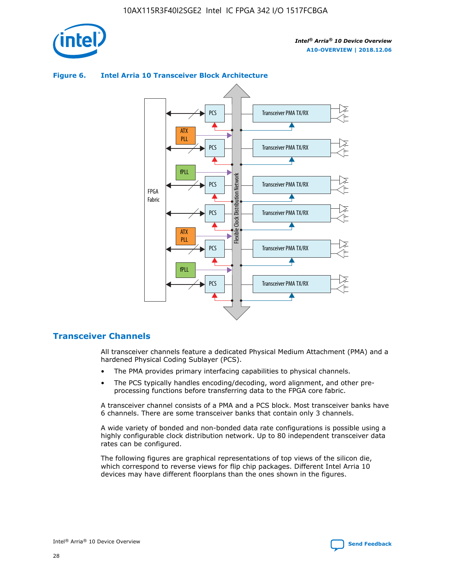



## **Figure 6. Intel Arria 10 Transceiver Block Architecture**

# **Transceiver Channels**

All transceiver channels feature a dedicated Physical Medium Attachment (PMA) and a hardened Physical Coding Sublayer (PCS).

- The PMA provides primary interfacing capabilities to physical channels.
- The PCS typically handles encoding/decoding, word alignment, and other preprocessing functions before transferring data to the FPGA core fabric.

A transceiver channel consists of a PMA and a PCS block. Most transceiver banks have 6 channels. There are some transceiver banks that contain only 3 channels.

A wide variety of bonded and non-bonded data rate configurations is possible using a highly configurable clock distribution network. Up to 80 independent transceiver data rates can be configured.

The following figures are graphical representations of top views of the silicon die, which correspond to reverse views for flip chip packages. Different Intel Arria 10 devices may have different floorplans than the ones shown in the figures.

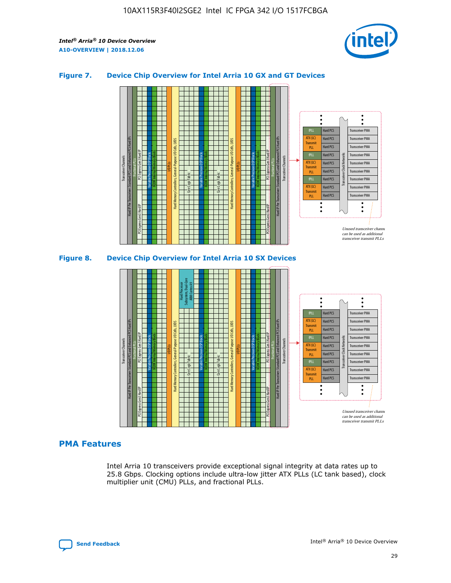

## **Figure 7. Device Chip Overview for Intel Arria 10 GX and GT Devices**





# **PMA Features**

Intel Arria 10 transceivers provide exceptional signal integrity at data rates up to 25.8 Gbps. Clocking options include ultra-low jitter ATX PLLs (LC tank based), clock multiplier unit (CMU) PLLs, and fractional PLLs.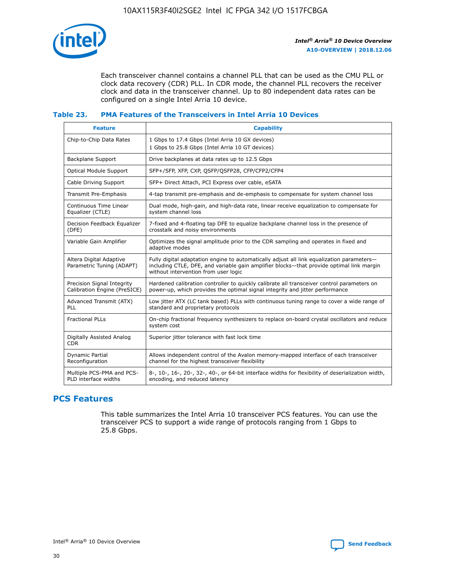

Each transceiver channel contains a channel PLL that can be used as the CMU PLL or clock data recovery (CDR) PLL. In CDR mode, the channel PLL recovers the receiver clock and data in the transceiver channel. Up to 80 independent data rates can be configured on a single Intel Arria 10 device.

## **Table 23. PMA Features of the Transceivers in Intel Arria 10 Devices**

| <b>Feature</b>                                             | <b>Capability</b>                                                                                                                                                                                                             |
|------------------------------------------------------------|-------------------------------------------------------------------------------------------------------------------------------------------------------------------------------------------------------------------------------|
| Chip-to-Chip Data Rates                                    | 1 Gbps to 17.4 Gbps (Intel Arria 10 GX devices)<br>1 Gbps to 25.8 Gbps (Intel Arria 10 GT devices)                                                                                                                            |
| <b>Backplane Support</b>                                   | Drive backplanes at data rates up to 12.5 Gbps                                                                                                                                                                                |
| <b>Optical Module Support</b>                              | SFP+/SFP, XFP, CXP, QSFP/QSFP28, CFP/CFP2/CFP4                                                                                                                                                                                |
| Cable Driving Support                                      | SFP+ Direct Attach, PCI Express over cable, eSATA                                                                                                                                                                             |
| Transmit Pre-Emphasis                                      | 4-tap transmit pre-emphasis and de-emphasis to compensate for system channel loss                                                                                                                                             |
| Continuous Time Linear<br>Equalizer (CTLE)                 | Dual mode, high-gain, and high-data rate, linear receive equalization to compensate for<br>system channel loss                                                                                                                |
| Decision Feedback Equalizer<br>(DFE)                       | 7-fixed and 4-floating tap DFE to equalize backplane channel loss in the presence of<br>crosstalk and noisy environments                                                                                                      |
| Variable Gain Amplifier                                    | Optimizes the signal amplitude prior to the CDR sampling and operates in fixed and<br>adaptive modes                                                                                                                          |
| Altera Digital Adaptive<br>Parametric Tuning (ADAPT)       | Fully digital adaptation engine to automatically adjust all link equalization parameters-<br>including CTLE, DFE, and variable gain amplifier blocks—that provide optimal link margin<br>without intervention from user logic |
| Precision Signal Integrity<br>Calibration Engine (PreSICE) | Hardened calibration controller to quickly calibrate all transceiver control parameters on<br>power-up, which provides the optimal signal integrity and jitter performance                                                    |
| Advanced Transmit (ATX)<br>PLL                             | Low jitter ATX (LC tank based) PLLs with continuous tuning range to cover a wide range of<br>standard and proprietary protocols                                                                                               |
| <b>Fractional PLLs</b>                                     | On-chip fractional frequency synthesizers to replace on-board crystal oscillators and reduce<br>system cost                                                                                                                   |
| Digitally Assisted Analog<br><b>CDR</b>                    | Superior jitter tolerance with fast lock time                                                                                                                                                                                 |
| Dynamic Partial<br>Reconfiguration                         | Allows independent control of the Avalon memory-mapped interface of each transceiver<br>channel for the highest transceiver flexibility                                                                                       |
| Multiple PCS-PMA and PCS-<br>PLD interface widths          | 8-, 10-, 16-, 20-, 32-, 40-, or 64-bit interface widths for flexibility of deserialization width,<br>encoding, and reduced latency                                                                                            |

# **PCS Features**

This table summarizes the Intel Arria 10 transceiver PCS features. You can use the transceiver PCS to support a wide range of protocols ranging from 1 Gbps to 25.8 Gbps.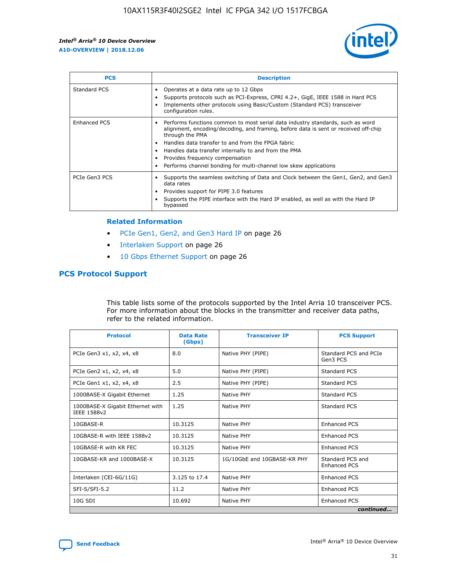

| <b>PCS</b>    | <b>Description</b>                                                                                                                                                                                                                                                                                                                                                                                             |
|---------------|----------------------------------------------------------------------------------------------------------------------------------------------------------------------------------------------------------------------------------------------------------------------------------------------------------------------------------------------------------------------------------------------------------------|
| Standard PCS  | Operates at a data rate up to 12 Gbps<br>Supports protocols such as PCI-Express, CPRI 4.2+, GigE, IEEE 1588 in Hard PCS<br>Implements other protocols using Basic/Custom (Standard PCS) transceiver<br>configuration rules.                                                                                                                                                                                    |
| Enhanced PCS  | Performs functions common to most serial data industry standards, such as word<br>alignment, encoding/decoding, and framing, before data is sent or received off-chip<br>through the PMA<br>• Handles data transfer to and from the FPGA fabric<br>Handles data transfer internally to and from the PMA<br>Provides frequency compensation<br>Performs channel bonding for multi-channel low skew applications |
| PCIe Gen3 PCS | Supports the seamless switching of Data and Clock between the Gen1, Gen2, and Gen3<br>data rates<br>Provides support for PIPE 3.0 features<br>Supports the PIPE interface with the Hard IP enabled, as well as with the Hard IP<br>bypassed                                                                                                                                                                    |

#### **Related Information**

- PCIe Gen1, Gen2, and Gen3 Hard IP on page 26
- Interlaken Support on page 26
- 10 Gbps Ethernet Support on page 26

# **PCS Protocol Support**

This table lists some of the protocols supported by the Intel Arria 10 transceiver PCS. For more information about the blocks in the transmitter and receiver data paths, refer to the related information.

| <b>Protocol</b>                                 | <b>Data Rate</b><br>(Gbps) | <b>Transceiver IP</b>       | <b>PCS Support</b>                      |
|-------------------------------------------------|----------------------------|-----------------------------|-----------------------------------------|
| PCIe Gen3 x1, x2, x4, x8                        | 8.0                        | Native PHY (PIPE)           | Standard PCS and PCIe<br>Gen3 PCS       |
| PCIe Gen2 x1, x2, x4, x8                        | 5.0                        | Native PHY (PIPE)           | <b>Standard PCS</b>                     |
| PCIe Gen1 x1, x2, x4, x8                        | 2.5                        | Native PHY (PIPE)           | Standard PCS                            |
| 1000BASE-X Gigabit Ethernet                     | 1.25                       | Native PHY                  | Standard PCS                            |
| 1000BASE-X Gigabit Ethernet with<br>IEEE 1588v2 | 1.25                       | Native PHY                  | Standard PCS                            |
| 10GBASE-R                                       | 10.3125                    | Native PHY                  | <b>Enhanced PCS</b>                     |
| 10GBASE-R with IEEE 1588v2                      | 10.3125                    | Native PHY                  | <b>Enhanced PCS</b>                     |
| 10GBASE-R with KR FEC                           | 10.3125                    | Native PHY                  | <b>Enhanced PCS</b>                     |
| 10GBASE-KR and 1000BASE-X                       | 10.3125                    | 1G/10GbE and 10GBASE-KR PHY | Standard PCS and<br><b>Enhanced PCS</b> |
| Interlaken (CEI-6G/11G)                         | 3.125 to 17.4              | Native PHY                  | <b>Enhanced PCS</b>                     |
| SFI-S/SFI-5.2                                   | 11.2                       | Native PHY                  | <b>Enhanced PCS</b>                     |
| $10G$ SDI                                       | 10.692                     | Native PHY                  | <b>Enhanced PCS</b>                     |
|                                                 |                            |                             | continued                               |

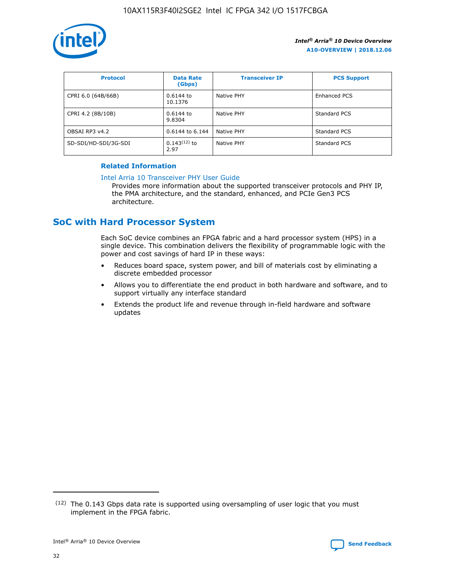

| <b>Protocol</b>      | <b>Data Rate</b><br>(Gbps) | <b>Transceiver IP</b> | <b>PCS Support</b> |
|----------------------|----------------------------|-----------------------|--------------------|
| CPRI 6.0 (64B/66B)   | 0.6144 to<br>10.1376       | Native PHY            | Enhanced PCS       |
| CPRI 4.2 (8B/10B)    | $0.6144$ to<br>9.8304      | Native PHY            | Standard PCS       |
| OBSAI RP3 v4.2       | 0.6144 to 6.144            | Native PHY            | Standard PCS       |
| SD-SDI/HD-SDI/3G-SDI | $0.143(12)$ to<br>2.97     | Native PHY            | Standard PCS       |

# **Related Information**

#### [Intel Arria 10 Transceiver PHY User Guide](https://www.intel.com/content/www/us/en/programmable/documentation/nik1398707230472.html#nik1398707091164)

Provides more information about the supported transceiver protocols and PHY IP, the PMA architecture, and the standard, enhanced, and PCIe Gen3 PCS architecture.

# **SoC with Hard Processor System**

Each SoC device combines an FPGA fabric and a hard processor system (HPS) in a single device. This combination delivers the flexibility of programmable logic with the power and cost savings of hard IP in these ways:

- Reduces board space, system power, and bill of materials cost by eliminating a discrete embedded processor
- Allows you to differentiate the end product in both hardware and software, and to support virtually any interface standard
- Extends the product life and revenue through in-field hardware and software updates

 $(12)$  The 0.143 Gbps data rate is supported using oversampling of user logic that you must implement in the FPGA fabric.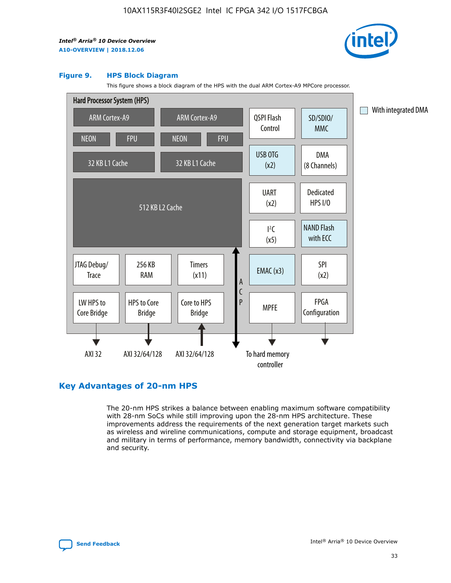

#### **Figure 9. HPS Block Diagram**

This figure shows a block diagram of the HPS with the dual ARM Cortex-A9 MPCore processor.



# **Key Advantages of 20-nm HPS**

The 20-nm HPS strikes a balance between enabling maximum software compatibility with 28-nm SoCs while still improving upon the 28-nm HPS architecture. These improvements address the requirements of the next generation target markets such as wireless and wireline communications, compute and storage equipment, broadcast and military in terms of performance, memory bandwidth, connectivity via backplane and security.

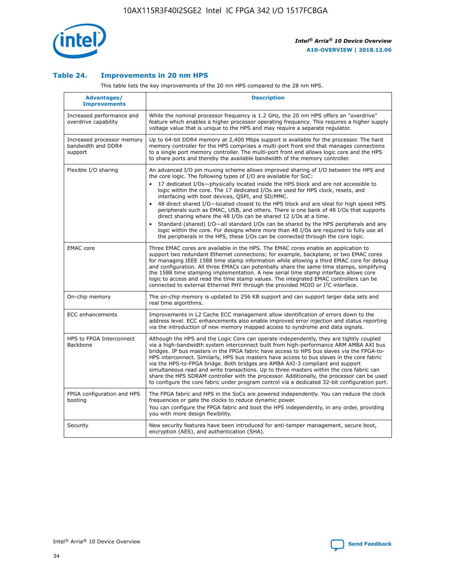

## **Table 24. Improvements in 20 nm HPS**

This table lists the key improvements of the 20 nm HPS compared to the 28 nm HPS.

| Advantages/<br><b>Improvements</b>                          | <b>Description</b>                                                                                                                                                                                                                                                                                                                                                                                                                                                                                                                                                                                                                                                                                                                                                                                                                                                                                                                                |
|-------------------------------------------------------------|---------------------------------------------------------------------------------------------------------------------------------------------------------------------------------------------------------------------------------------------------------------------------------------------------------------------------------------------------------------------------------------------------------------------------------------------------------------------------------------------------------------------------------------------------------------------------------------------------------------------------------------------------------------------------------------------------------------------------------------------------------------------------------------------------------------------------------------------------------------------------------------------------------------------------------------------------|
| Increased performance and<br>overdrive capability           | While the nominal processor frequency is 1.2 GHz, the 20 nm HPS offers an "overdrive"<br>feature which enables a higher processor operating frequency. This requires a higher supply<br>voltage value that is unique to the HPS and may require a separate regulator.                                                                                                                                                                                                                                                                                                                                                                                                                                                                                                                                                                                                                                                                             |
| Increased processor memory<br>bandwidth and DDR4<br>support | Up to 64-bit DDR4 memory at 2,400 Mbps support is available for the processor. The hard<br>memory controller for the HPS comprises a multi-port front end that manages connections<br>to a single port memory controller. The multi-port front end allows logic core and the HPS<br>to share ports and thereby the available bandwidth of the memory controller.                                                                                                                                                                                                                                                                                                                                                                                                                                                                                                                                                                                  |
| Flexible I/O sharing                                        | An advanced I/O pin muxing scheme allows improved sharing of I/O between the HPS and<br>the core logic. The following types of I/O are available for SoC:<br>$\bullet$<br>17 dedicated I/Os-physically located inside the HPS block and are not accessible to<br>logic within the core. The 17 dedicated I/Os are used for HPS clock, resets, and<br>interfacing with boot devices, QSPI, and SD/MMC.<br>48 direct shared I/O-located closest to the HPS block and are ideal for high speed HPS<br>$\bullet$<br>peripherals such as EMAC, USB, and others. There is one bank of 48 I/Os that supports<br>direct sharing where the 48 I/Os can be shared 12 I/Os at a time.<br>Standard (shared) I/O-all standard I/Os can be shared by the HPS peripherals and any<br>logic within the core. For designs where more than 48 I/Os are required to fully use all<br>the peripherals in the HPS, these I/Os can be connected through the core logic. |
| <b>EMAC</b> core                                            | Three EMAC cores are available in the HPS. The EMAC cores enable an application to<br>support two redundant Ethernet connections; for example, backplane, or two EMAC cores<br>for managing IEEE 1588 time stamp information while allowing a third EMAC core for debug<br>and configuration. All three EMACs can potentially share the same time stamps, simplifying<br>the 1588 time stamping implementation. A new serial time stamp interface allows core<br>logic to access and read the time stamp values. The integrated EMAC controllers can be<br>connected to external Ethernet PHY through the provided MDIO or I <sup>2</sup> C interface.                                                                                                                                                                                                                                                                                            |
| On-chip memory                                              | The on-chip memory is updated to 256 KB support and can support larger data sets and<br>real time algorithms.                                                                                                                                                                                                                                                                                                                                                                                                                                                                                                                                                                                                                                                                                                                                                                                                                                     |
| <b>ECC</b> enhancements                                     | Improvements in L2 Cache ECC management allow identification of errors down to the<br>address level. ECC enhancements also enable improved error injection and status reporting<br>via the introduction of new memory mapped access to syndrome and data signals.                                                                                                                                                                                                                                                                                                                                                                                                                                                                                                                                                                                                                                                                                 |
| HPS to FPGA Interconnect<br>Backbone                        | Although the HPS and the Logic Core can operate independently, they are tightly coupled<br>via a high-bandwidth system interconnect built from high-performance ARM AMBA AXI bus<br>bridges. IP bus masters in the FPGA fabric have access to HPS bus slaves via the FPGA-to-<br>HPS interconnect. Similarly, HPS bus masters have access to bus slaves in the core fabric<br>via the HPS-to-FPGA bridge. Both bridges are AMBA AXI-3 compliant and support<br>simultaneous read and write transactions. Up to three masters within the core fabric can<br>share the HPS SDRAM controller with the processor. Additionally, the processor can be used<br>to configure the core fabric under program control via a dedicated 32-bit configuration port.                                                                                                                                                                                            |
| FPGA configuration and HPS<br>booting                       | The FPGA fabric and HPS in the SoCs are powered independently. You can reduce the clock<br>frequencies or gate the clocks to reduce dynamic power.<br>You can configure the FPGA fabric and boot the HPS independently, in any order, providing<br>you with more design flexibility.                                                                                                                                                                                                                                                                                                                                                                                                                                                                                                                                                                                                                                                              |
| Security                                                    | New security features have been introduced for anti-tamper management, secure boot,<br>encryption (AES), and authentication (SHA).                                                                                                                                                                                                                                                                                                                                                                                                                                                                                                                                                                                                                                                                                                                                                                                                                |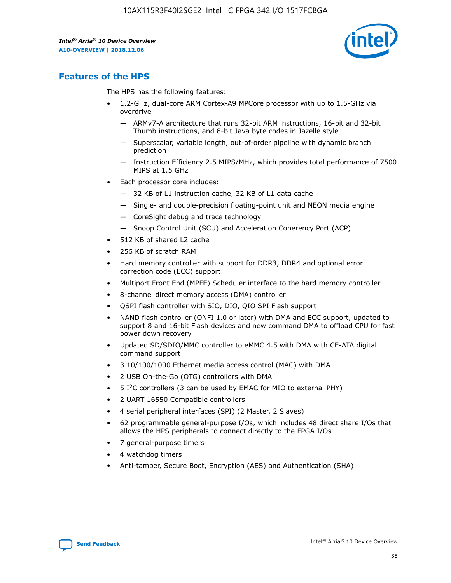

# **Features of the HPS**

The HPS has the following features:

- 1.2-GHz, dual-core ARM Cortex-A9 MPCore processor with up to 1.5-GHz via overdrive
	- ARMv7-A architecture that runs 32-bit ARM instructions, 16-bit and 32-bit Thumb instructions, and 8-bit Java byte codes in Jazelle style
	- Superscalar, variable length, out-of-order pipeline with dynamic branch prediction
	- Instruction Efficiency 2.5 MIPS/MHz, which provides total performance of 7500 MIPS at 1.5 GHz
- Each processor core includes:
	- 32 KB of L1 instruction cache, 32 KB of L1 data cache
	- Single- and double-precision floating-point unit and NEON media engine
	- CoreSight debug and trace technology
	- Snoop Control Unit (SCU) and Acceleration Coherency Port (ACP)
- 512 KB of shared L2 cache
- 256 KB of scratch RAM
- Hard memory controller with support for DDR3, DDR4 and optional error correction code (ECC) support
- Multiport Front End (MPFE) Scheduler interface to the hard memory controller
- 8-channel direct memory access (DMA) controller
- QSPI flash controller with SIO, DIO, QIO SPI Flash support
- NAND flash controller (ONFI 1.0 or later) with DMA and ECC support, updated to support 8 and 16-bit Flash devices and new command DMA to offload CPU for fast power down recovery
- Updated SD/SDIO/MMC controller to eMMC 4.5 with DMA with CE-ATA digital command support
- 3 10/100/1000 Ethernet media access control (MAC) with DMA
- 2 USB On-the-Go (OTG) controllers with DMA
- $\bullet$  5 I<sup>2</sup>C controllers (3 can be used by EMAC for MIO to external PHY)
- 2 UART 16550 Compatible controllers
- 4 serial peripheral interfaces (SPI) (2 Master, 2 Slaves)
- 62 programmable general-purpose I/Os, which includes 48 direct share I/Os that allows the HPS peripherals to connect directly to the FPGA I/Os
- 7 general-purpose timers
- 4 watchdog timers
- Anti-tamper, Secure Boot, Encryption (AES) and Authentication (SHA)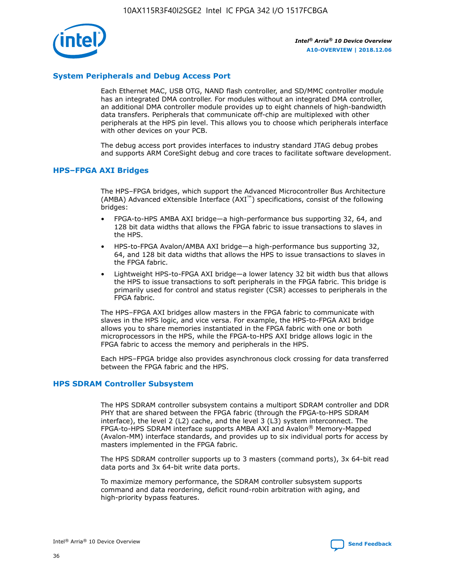

# **System Peripherals and Debug Access Port**

Each Ethernet MAC, USB OTG, NAND flash controller, and SD/MMC controller module has an integrated DMA controller. For modules without an integrated DMA controller, an additional DMA controller module provides up to eight channels of high-bandwidth data transfers. Peripherals that communicate off-chip are multiplexed with other peripherals at the HPS pin level. This allows you to choose which peripherals interface with other devices on your PCB.

The debug access port provides interfaces to industry standard JTAG debug probes and supports ARM CoreSight debug and core traces to facilitate software development.

## **HPS–FPGA AXI Bridges**

The HPS–FPGA bridges, which support the Advanced Microcontroller Bus Architecture (AMBA) Advanced eXtensible Interface (AXI™) specifications, consist of the following bridges:

- FPGA-to-HPS AMBA AXI bridge—a high-performance bus supporting 32, 64, and 128 bit data widths that allows the FPGA fabric to issue transactions to slaves in the HPS.
- HPS-to-FPGA Avalon/AMBA AXI bridge—a high-performance bus supporting 32, 64, and 128 bit data widths that allows the HPS to issue transactions to slaves in the FPGA fabric.
- Lightweight HPS-to-FPGA AXI bridge—a lower latency 32 bit width bus that allows the HPS to issue transactions to soft peripherals in the FPGA fabric. This bridge is primarily used for control and status register (CSR) accesses to peripherals in the FPGA fabric.

The HPS–FPGA AXI bridges allow masters in the FPGA fabric to communicate with slaves in the HPS logic, and vice versa. For example, the HPS-to-FPGA AXI bridge allows you to share memories instantiated in the FPGA fabric with one or both microprocessors in the HPS, while the FPGA-to-HPS AXI bridge allows logic in the FPGA fabric to access the memory and peripherals in the HPS.

Each HPS–FPGA bridge also provides asynchronous clock crossing for data transferred between the FPGA fabric and the HPS.

## **HPS SDRAM Controller Subsystem**

The HPS SDRAM controller subsystem contains a multiport SDRAM controller and DDR PHY that are shared between the FPGA fabric (through the FPGA-to-HPS SDRAM interface), the level 2 (L2) cache, and the level 3 (L3) system interconnect. The FPGA-to-HPS SDRAM interface supports AMBA AXI and Avalon® Memory-Mapped (Avalon-MM) interface standards, and provides up to six individual ports for access by masters implemented in the FPGA fabric.

The HPS SDRAM controller supports up to 3 masters (command ports), 3x 64-bit read data ports and 3x 64-bit write data ports.

To maximize memory performance, the SDRAM controller subsystem supports command and data reordering, deficit round-robin arbitration with aging, and high-priority bypass features.

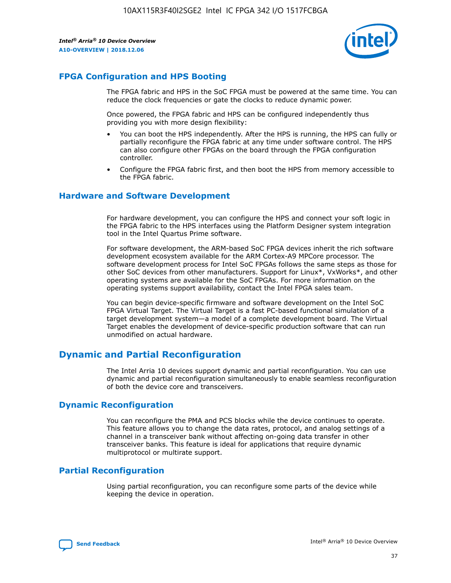

# **FPGA Configuration and HPS Booting**

The FPGA fabric and HPS in the SoC FPGA must be powered at the same time. You can reduce the clock frequencies or gate the clocks to reduce dynamic power.

Once powered, the FPGA fabric and HPS can be configured independently thus providing you with more design flexibility:

- You can boot the HPS independently. After the HPS is running, the HPS can fully or partially reconfigure the FPGA fabric at any time under software control. The HPS can also configure other FPGAs on the board through the FPGA configuration controller.
- Configure the FPGA fabric first, and then boot the HPS from memory accessible to the FPGA fabric.

## **Hardware and Software Development**

For hardware development, you can configure the HPS and connect your soft logic in the FPGA fabric to the HPS interfaces using the Platform Designer system integration tool in the Intel Quartus Prime software.

For software development, the ARM-based SoC FPGA devices inherit the rich software development ecosystem available for the ARM Cortex-A9 MPCore processor. The software development process for Intel SoC FPGAs follows the same steps as those for other SoC devices from other manufacturers. Support for Linux\*, VxWorks\*, and other operating systems are available for the SoC FPGAs. For more information on the operating systems support availability, contact the Intel FPGA sales team.

You can begin device-specific firmware and software development on the Intel SoC FPGA Virtual Target. The Virtual Target is a fast PC-based functional simulation of a target development system—a model of a complete development board. The Virtual Target enables the development of device-specific production software that can run unmodified on actual hardware.

# **Dynamic and Partial Reconfiguration**

The Intel Arria 10 devices support dynamic and partial reconfiguration. You can use dynamic and partial reconfiguration simultaneously to enable seamless reconfiguration of both the device core and transceivers.

# **Dynamic Reconfiguration**

You can reconfigure the PMA and PCS blocks while the device continues to operate. This feature allows you to change the data rates, protocol, and analog settings of a channel in a transceiver bank without affecting on-going data transfer in other transceiver banks. This feature is ideal for applications that require dynamic multiprotocol or multirate support.

# **Partial Reconfiguration**

Using partial reconfiguration, you can reconfigure some parts of the device while keeping the device in operation.

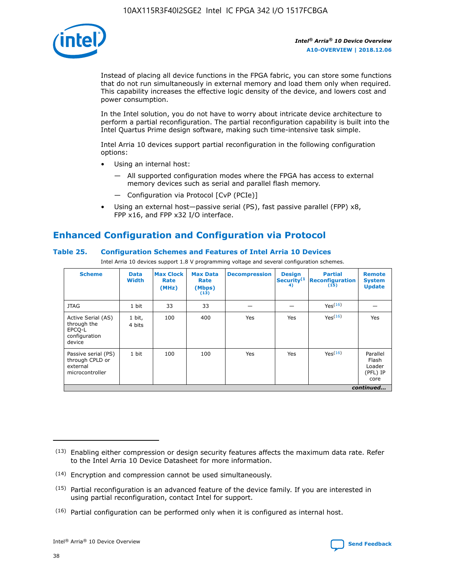

Instead of placing all device functions in the FPGA fabric, you can store some functions that do not run simultaneously in external memory and load them only when required. This capability increases the effective logic density of the device, and lowers cost and power consumption.

In the Intel solution, you do not have to worry about intricate device architecture to perform a partial reconfiguration. The partial reconfiguration capability is built into the Intel Quartus Prime design software, making such time-intensive task simple.

Intel Arria 10 devices support partial reconfiguration in the following configuration options:

- Using an internal host:
	- All supported configuration modes where the FPGA has access to external memory devices such as serial and parallel flash memory.
	- Configuration via Protocol [CvP (PCIe)]
- Using an external host—passive serial (PS), fast passive parallel (FPP) x8, FPP x16, and FPP x32 I/O interface.

# **Enhanced Configuration and Configuration via Protocol**

# **Table 25. Configuration Schemes and Features of Intel Arria 10 Devices**

Intel Arria 10 devices support 1.8 V programming voltage and several configuration schemes.

| <b>Scheme</b>                                                          | <b>Data</b><br><b>Width</b> | <b>Max Clock</b><br>Rate<br>(MHz) | <b>Max Data</b><br>Rate<br>(Mbps)<br>(13) | <b>Decompression</b> | <b>Design</b><br>Security <sup>(1</sup><br>4) | <b>Partial</b><br>Reconfiguration<br>(15) | <b>Remote</b><br><b>System</b><br><b>Update</b> |
|------------------------------------------------------------------------|-----------------------------|-----------------------------------|-------------------------------------------|----------------------|-----------------------------------------------|-------------------------------------------|-------------------------------------------------|
| <b>JTAG</b>                                                            | 1 bit                       | 33                                | 33                                        |                      |                                               | Yes(16)                                   |                                                 |
| Active Serial (AS)<br>through the<br>EPCO-L<br>configuration<br>device | 1 bit,<br>4 bits            | 100                               | 400                                       | Yes                  | Yes                                           | Yes(16)                                   | Yes                                             |
| Passive serial (PS)<br>through CPLD or<br>external<br>microcontroller  | 1 bit                       | 100                               | 100                                       | Yes                  | Yes                                           | Yes <sup>(16)</sup>                       | Parallel<br>Flash<br>Loader<br>(PFL) IP<br>core |
|                                                                        | continued                   |                                   |                                           |                      |                                               |                                           |                                                 |

<sup>(13)</sup> Enabling either compression or design security features affects the maximum data rate. Refer to the Intel Arria 10 Device Datasheet for more information.

<sup>(14)</sup> Encryption and compression cannot be used simultaneously.

 $(15)$  Partial reconfiguration is an advanced feature of the device family. If you are interested in using partial reconfiguration, contact Intel for support.

 $(16)$  Partial configuration can be performed only when it is configured as internal host.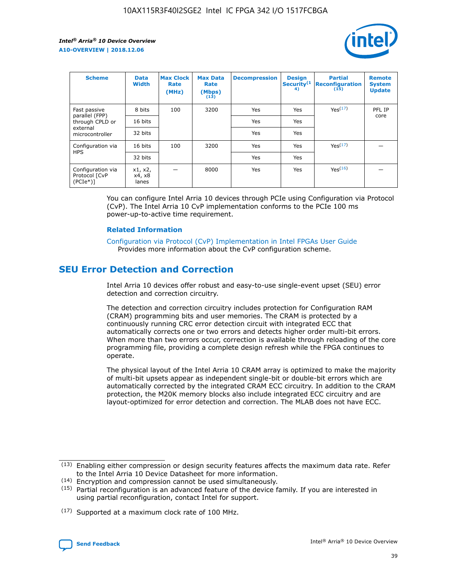

| <b>Scheme</b>                                   | <b>Data</b><br><b>Width</b> | <b>Max Clock</b><br>Rate<br>(MHz) | <b>Max Data</b><br>Rate<br>(Mbps)<br>(13) | <b>Decompression</b> | <b>Design</b><br>Security <sup>(1</sup><br>4) | <b>Partial</b><br><b>Reconfiguration</b><br>(15) | <b>Remote</b><br><b>System</b><br><b>Update</b> |
|-------------------------------------------------|-----------------------------|-----------------------------------|-------------------------------------------|----------------------|-----------------------------------------------|--------------------------------------------------|-------------------------------------------------|
| Fast passive                                    | 8 bits                      | 100                               | 3200                                      | <b>Yes</b>           | Yes                                           | Yes(17)                                          | PFL IP                                          |
| parallel (FPP)<br>through CPLD or               | 16 bits                     |                                   |                                           | Yes                  | Yes                                           |                                                  | core                                            |
| external<br>microcontroller                     | 32 bits                     |                                   |                                           | Yes                  | Yes                                           |                                                  |                                                 |
| Configuration via                               | 16 bits                     | 100                               | 3200                                      | Yes                  | Yes                                           | Yes <sup>(17)</sup>                              |                                                 |
| <b>HPS</b>                                      | 32 bits                     |                                   |                                           | Yes                  | Yes                                           |                                                  |                                                 |
| Configuration via<br>Protocol [CvP<br>$(PCIe*)$ | x1, x2,<br>x4, x8<br>lanes  |                                   | 8000                                      | Yes                  | Yes                                           | Yes <sup>(16)</sup>                              |                                                 |

You can configure Intel Arria 10 devices through PCIe using Configuration via Protocol (CvP). The Intel Arria 10 CvP implementation conforms to the PCIe 100 ms power-up-to-active time requirement.

#### **Related Information**

[Configuration via Protocol \(CvP\) Implementation in Intel FPGAs User Guide](https://www.intel.com/content/www/us/en/programmable/documentation/dsu1441819344145.html#dsu1442269728522) Provides more information about the CvP configuration scheme.

# **SEU Error Detection and Correction**

Intel Arria 10 devices offer robust and easy-to-use single-event upset (SEU) error detection and correction circuitry.

The detection and correction circuitry includes protection for Configuration RAM (CRAM) programming bits and user memories. The CRAM is protected by a continuously running CRC error detection circuit with integrated ECC that automatically corrects one or two errors and detects higher order multi-bit errors. When more than two errors occur, correction is available through reloading of the core programming file, providing a complete design refresh while the FPGA continues to operate.

The physical layout of the Intel Arria 10 CRAM array is optimized to make the majority of multi-bit upsets appear as independent single-bit or double-bit errors which are automatically corrected by the integrated CRAM ECC circuitry. In addition to the CRAM protection, the M20K memory blocks also include integrated ECC circuitry and are layout-optimized for error detection and correction. The MLAB does not have ECC.

(14) Encryption and compression cannot be used simultaneously.

<sup>(17)</sup> Supported at a maximum clock rate of 100 MHz.



 $(13)$  Enabling either compression or design security features affects the maximum data rate. Refer to the Intel Arria 10 Device Datasheet for more information.

 $(15)$  Partial reconfiguration is an advanced feature of the device family. If you are interested in using partial reconfiguration, contact Intel for support.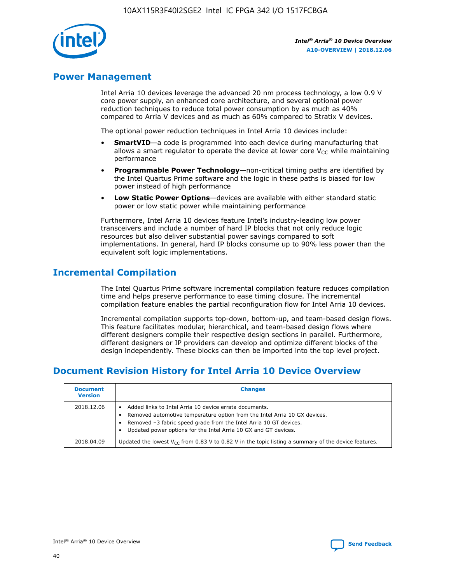

# **Power Management**

Intel Arria 10 devices leverage the advanced 20 nm process technology, a low 0.9 V core power supply, an enhanced core architecture, and several optional power reduction techniques to reduce total power consumption by as much as 40% compared to Arria V devices and as much as 60% compared to Stratix V devices.

The optional power reduction techniques in Intel Arria 10 devices include:

- **SmartVID**—a code is programmed into each device during manufacturing that allows a smart regulator to operate the device at lower core  $V_{CC}$  while maintaining performance
- **Programmable Power Technology**—non-critical timing paths are identified by the Intel Quartus Prime software and the logic in these paths is biased for low power instead of high performance
- **Low Static Power Options**—devices are available with either standard static power or low static power while maintaining performance

Furthermore, Intel Arria 10 devices feature Intel's industry-leading low power transceivers and include a number of hard IP blocks that not only reduce logic resources but also deliver substantial power savings compared to soft implementations. In general, hard IP blocks consume up to 90% less power than the equivalent soft logic implementations.

# **Incremental Compilation**

The Intel Quartus Prime software incremental compilation feature reduces compilation time and helps preserve performance to ease timing closure. The incremental compilation feature enables the partial reconfiguration flow for Intel Arria 10 devices.

Incremental compilation supports top-down, bottom-up, and team-based design flows. This feature facilitates modular, hierarchical, and team-based design flows where different designers compile their respective design sections in parallel. Furthermore, different designers or IP providers can develop and optimize different blocks of the design independently. These blocks can then be imported into the top level project.

# **Document Revision History for Intel Arria 10 Device Overview**

| <b>Document</b><br><b>Version</b> | <b>Changes</b>                                                                                                                                                                                                                                                              |
|-----------------------------------|-----------------------------------------------------------------------------------------------------------------------------------------------------------------------------------------------------------------------------------------------------------------------------|
| 2018.12.06                        | Added links to Intel Arria 10 device errata documents.<br>Removed automotive temperature option from the Intel Arria 10 GX devices.<br>Removed -3 fabric speed grade from the Intel Arria 10 GT devices.<br>Updated power options for the Intel Arria 10 GX and GT devices. |
| 2018.04.09                        | Updated the lowest $V_{CC}$ from 0.83 V to 0.82 V in the topic listing a summary of the device features.                                                                                                                                                                    |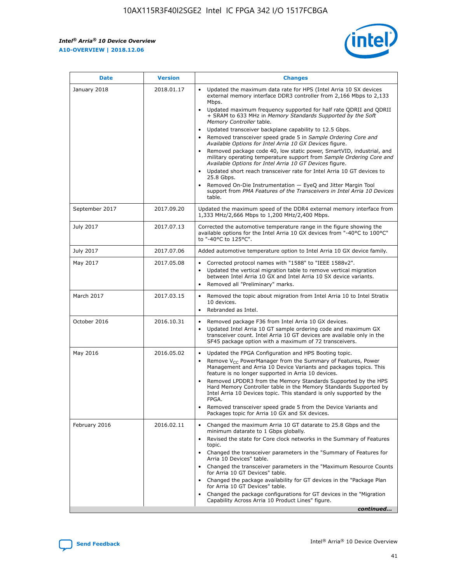*Intel® Arria® 10 Device Overview* **A10-OVERVIEW | 2018.12.06**



| <b>Date</b>    | <b>Version</b> | <b>Changes</b>                                                                                                                                                                                                                                                                                                                                                                                                                                                                                                                                                                                                                                                                                                                                                                                                                                                                                                                                                            |
|----------------|----------------|---------------------------------------------------------------------------------------------------------------------------------------------------------------------------------------------------------------------------------------------------------------------------------------------------------------------------------------------------------------------------------------------------------------------------------------------------------------------------------------------------------------------------------------------------------------------------------------------------------------------------------------------------------------------------------------------------------------------------------------------------------------------------------------------------------------------------------------------------------------------------------------------------------------------------------------------------------------------------|
| January 2018   | 2018.01.17     | Updated the maximum data rate for HPS (Intel Arria 10 SX devices<br>external memory interface DDR3 controller from 2,166 Mbps to 2,133<br>Mbps.<br>Updated maximum frequency supported for half rate QDRII and QDRII<br>+ SRAM to 633 MHz in Memory Standards Supported by the Soft<br>Memory Controller table.<br>Updated transceiver backplane capability to 12.5 Gbps.<br>$\bullet$<br>Removed transceiver speed grade 5 in Sample Ordering Core and<br>Available Options for Intel Arria 10 GX Devices figure.<br>Removed package code 40, low static power, SmartVID, industrial, and<br>military operating temperature support from Sample Ordering Core and<br>Available Options for Intel Arria 10 GT Devices figure.<br>Updated short reach transceiver rate for Intel Arria 10 GT devices to<br>25.8 Gbps.<br>Removed On-Die Instrumentation - EyeQ and Jitter Margin Tool<br>support from PMA Features of the Transceivers in Intel Arria 10 Devices<br>table. |
| September 2017 | 2017.09.20     | Updated the maximum speed of the DDR4 external memory interface from<br>1,333 MHz/2,666 Mbps to 1,200 MHz/2,400 Mbps.                                                                                                                                                                                                                                                                                                                                                                                                                                                                                                                                                                                                                                                                                                                                                                                                                                                     |
| July 2017      | 2017.07.13     | Corrected the automotive temperature range in the figure showing the<br>available options for the Intel Arria 10 GX devices from "-40°C to 100°C"<br>to "-40°C to 125°C".                                                                                                                                                                                                                                                                                                                                                                                                                                                                                                                                                                                                                                                                                                                                                                                                 |
| July 2017      | 2017.07.06     | Added automotive temperature option to Intel Arria 10 GX device family.                                                                                                                                                                                                                                                                                                                                                                                                                                                                                                                                                                                                                                                                                                                                                                                                                                                                                                   |
| May 2017       | 2017.05.08     | Corrected protocol names with "1588" to "IEEE 1588v2".<br>Updated the vertical migration table to remove vertical migration<br>between Intel Arria 10 GX and Intel Arria 10 SX device variants.<br>Removed all "Preliminary" marks.                                                                                                                                                                                                                                                                                                                                                                                                                                                                                                                                                                                                                                                                                                                                       |
| March 2017     | 2017.03.15     | Removed the topic about migration from Intel Arria 10 to Intel Stratix<br>10 devices.<br>Rebranded as Intel.<br>$\bullet$                                                                                                                                                                                                                                                                                                                                                                                                                                                                                                                                                                                                                                                                                                                                                                                                                                                 |
| October 2016   | 2016.10.31     | Removed package F36 from Intel Arria 10 GX devices.<br>Updated Intel Arria 10 GT sample ordering code and maximum GX<br>$\bullet$<br>transceiver count. Intel Arria 10 GT devices are available only in the<br>SF45 package option with a maximum of 72 transceivers.                                                                                                                                                                                                                                                                                                                                                                                                                                                                                                                                                                                                                                                                                                     |
| May 2016       | 2016.05.02     | Updated the FPGA Configuration and HPS Booting topic.<br>Remove V <sub>CC</sub> PowerManager from the Summary of Features, Power<br>Management and Arria 10 Device Variants and packages topics. This<br>feature is no longer supported in Arria 10 devices.<br>Removed LPDDR3 from the Memory Standards Supported by the HPS<br>Hard Memory Controller table in the Memory Standards Supported by<br>Intel Arria 10 Devices topic. This standard is only supported by the<br>FPGA.<br>Removed transceiver speed grade 5 from the Device Variants and<br>Packages topic for Arria 10 GX and SX devices.                                                                                                                                                                                                                                                                                                                                                                   |
| February 2016  | 2016.02.11     | Changed the maximum Arria 10 GT datarate to 25.8 Gbps and the<br>minimum datarate to 1 Gbps globally.<br>Revised the state for Core clock networks in the Summary of Features<br>$\bullet$<br>topic.<br>Changed the transceiver parameters in the "Summary of Features for<br>Arria 10 Devices" table.<br>• Changed the transceiver parameters in the "Maximum Resource Counts<br>for Arria 10 GT Devices" table.<br>• Changed the package availability for GT devices in the "Package Plan<br>for Arria 10 GT Devices" table.<br>Changed the package configurations for GT devices in the "Migration"<br>Capability Across Arria 10 Product Lines" figure.<br>continued                                                                                                                                                                                                                                                                                                  |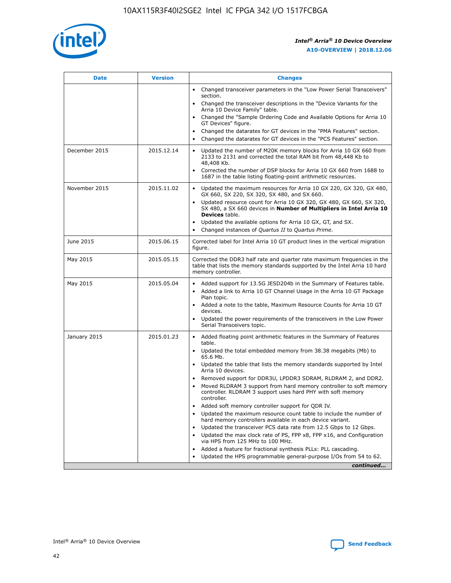

| <b>Date</b>   | <b>Version</b> | <b>Changes</b>                                                                                                                                                               |
|---------------|----------------|------------------------------------------------------------------------------------------------------------------------------------------------------------------------------|
|               |                | • Changed transceiver parameters in the "Low Power Serial Transceivers"<br>section.                                                                                          |
|               |                | • Changed the transceiver descriptions in the "Device Variants for the<br>Arria 10 Device Family" table.                                                                     |
|               |                | Changed the "Sample Ordering Code and Available Options for Arria 10<br>$\bullet$<br>GT Devices" figure.                                                                     |
|               |                | Changed the datarates for GT devices in the "PMA Features" section.                                                                                                          |
|               |                | Changed the datarates for GT devices in the "PCS Features" section.<br>$\bullet$                                                                                             |
| December 2015 | 2015.12.14     | Updated the number of M20K memory blocks for Arria 10 GX 660 from<br>2133 to 2131 and corrected the total RAM bit from 48,448 Kb to<br>48,408 Kb.                            |
|               |                | Corrected the number of DSP blocks for Arria 10 GX 660 from 1688 to<br>1687 in the table listing floating-point arithmetic resources.                                        |
| November 2015 | 2015.11.02     | Updated the maximum resources for Arria 10 GX 220, GX 320, GX 480,<br>$\bullet$<br>GX 660, SX 220, SX 320, SX 480, and SX 660.                                               |
|               |                | • Updated resource count for Arria 10 GX 320, GX 480, GX 660, SX 320,<br>SX 480, a SX 660 devices in Number of Multipliers in Intel Arria 10<br><b>Devices</b> table.        |
|               |                | Updated the available options for Arria 10 GX, GT, and SX.                                                                                                                   |
|               |                | Changed instances of Quartus II to Quartus Prime.<br>$\bullet$                                                                                                               |
| June 2015     | 2015.06.15     | Corrected label for Intel Arria 10 GT product lines in the vertical migration<br>figure.                                                                                     |
| May 2015      | 2015.05.15     | Corrected the DDR3 half rate and quarter rate maximum frequencies in the<br>table that lists the memory standards supported by the Intel Arria 10 hard<br>memory controller. |
| May 2015      | 2015.05.04     | • Added support for 13.5G JESD204b in the Summary of Features table.                                                                                                         |
|               |                | • Added a link to Arria 10 GT Channel Usage in the Arria 10 GT Package<br>Plan topic.                                                                                        |
|               |                | • Added a note to the table, Maximum Resource Counts for Arria 10 GT<br>devices.                                                                                             |
|               |                | • Updated the power requirements of the transceivers in the Low Power<br>Serial Transceivers topic.                                                                          |
| January 2015  | 2015.01.23     | • Added floating point arithmetic features in the Summary of Features<br>table.                                                                                              |
|               |                | • Updated the total embedded memory from 38.38 megabits (Mb) to<br>65.6 Mb.                                                                                                  |
|               |                | • Updated the table that lists the memory standards supported by Intel<br>Arria 10 devices.                                                                                  |
|               |                | Removed support for DDR3U, LPDDR3 SDRAM, RLDRAM 2, and DDR2.                                                                                                                 |
|               |                | Moved RLDRAM 3 support from hard memory controller to soft memory<br>controller. RLDRAM 3 support uses hard PHY with soft memory<br>controller.                              |
|               |                | Added soft memory controller support for QDR IV.<br>٠                                                                                                                        |
|               |                | Updated the maximum resource count table to include the number of<br>hard memory controllers available in each device variant.                                               |
|               |                | Updated the transceiver PCS data rate from 12.5 Gbps to 12 Gbps.<br>$\bullet$                                                                                                |
|               |                | Updated the max clock rate of PS, FPP x8, FPP x16, and Configuration<br>via HPS from 125 MHz to 100 MHz.                                                                     |
|               |                | Added a feature for fractional synthesis PLLs: PLL cascading.                                                                                                                |
|               |                | Updated the HPS programmable general-purpose I/Os from 54 to 62.<br>$\bullet$                                                                                                |
|               |                | continued                                                                                                                                                                    |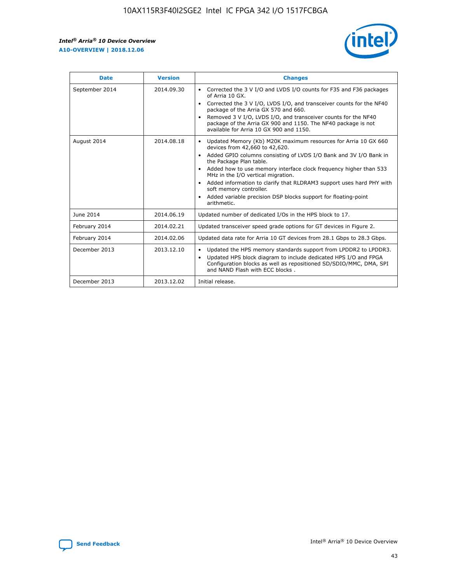r



| <b>Date</b>    | <b>Version</b> | <b>Changes</b>                                                                                                                                                                                                                                                                                                                                                                                                                                                                                                                                      |
|----------------|----------------|-----------------------------------------------------------------------------------------------------------------------------------------------------------------------------------------------------------------------------------------------------------------------------------------------------------------------------------------------------------------------------------------------------------------------------------------------------------------------------------------------------------------------------------------------------|
| September 2014 | 2014.09.30     | Corrected the 3 V I/O and LVDS I/O counts for F35 and F36 packages<br>$\bullet$<br>of Arria 10 GX.<br>Corrected the 3 V I/O, LVDS I/O, and transceiver counts for the NF40<br>$\bullet$<br>package of the Arria GX 570 and 660.<br>Removed 3 V I/O, LVDS I/O, and transceiver counts for the NF40<br>package of the Arria GX 900 and 1150. The NF40 package is not<br>available for Arria 10 GX 900 and 1150.                                                                                                                                       |
| August 2014    | 2014.08.18     | Updated Memory (Kb) M20K maximum resources for Arria 10 GX 660<br>devices from 42,660 to 42,620.<br>Added GPIO columns consisting of LVDS I/O Bank and 3V I/O Bank in<br>$\bullet$<br>the Package Plan table.<br>Added how to use memory interface clock frequency higher than 533<br>$\bullet$<br>MHz in the I/O vertical migration.<br>Added information to clarify that RLDRAM3 support uses hard PHY with<br>$\bullet$<br>soft memory controller.<br>Added variable precision DSP blocks support for floating-point<br>$\bullet$<br>arithmetic. |
| June 2014      | 2014.06.19     | Updated number of dedicated I/Os in the HPS block to 17.                                                                                                                                                                                                                                                                                                                                                                                                                                                                                            |
| February 2014  | 2014.02.21     | Updated transceiver speed grade options for GT devices in Figure 2.                                                                                                                                                                                                                                                                                                                                                                                                                                                                                 |
| February 2014  | 2014.02.06     | Updated data rate for Arria 10 GT devices from 28.1 Gbps to 28.3 Gbps.                                                                                                                                                                                                                                                                                                                                                                                                                                                                              |
| December 2013  | 2013.12.10     | Updated the HPS memory standards support from LPDDR2 to LPDDR3.<br>Updated HPS block diagram to include dedicated HPS I/O and FPGA<br>$\bullet$<br>Configuration blocks as well as repositioned SD/SDIO/MMC, DMA, SPI<br>and NAND Flash with ECC blocks.                                                                                                                                                                                                                                                                                            |
| December 2013  | 2013.12.02     | Initial release.                                                                                                                                                                                                                                                                                                                                                                                                                                                                                                                                    |